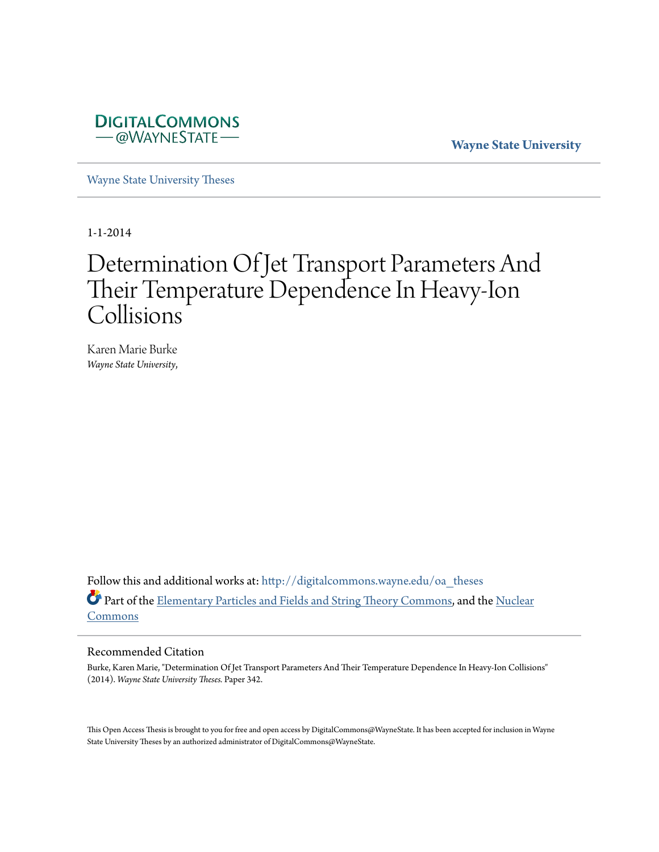

**Wayne State University**

[Wayne State University Theses](http://digitalcommons.wayne.edu/oa_theses?utm_source=digitalcommons.wayne.edu%2Foa_theses%2F342&utm_medium=PDF&utm_campaign=PDFCoverPages)

1-1-2014

# Determination Of Jet Transport Parameters And Their Temperature Dependence In Heavy-Ion Collisions

Karen Marie Burke *Wayne State University*,

Follow this and additional works at: [http://digitalcommons.wayne.edu/oa\\_theses](http://digitalcommons.wayne.edu/oa_theses?utm_source=digitalcommons.wayne.edu%2Foa_theses%2F342&utm_medium=PDF&utm_campaign=PDFCoverPages) Part of the [Elementary Particles and Fields and String Theory Commons](http://network.bepress.com/hgg/discipline/199?utm_source=digitalcommons.wayne.edu%2Foa_theses%2F342&utm_medium=PDF&utm_campaign=PDFCoverPages), and the [Nuclear](http://network.bepress.com/hgg/discipline/203?utm_source=digitalcommons.wayne.edu%2Foa_theses%2F342&utm_medium=PDF&utm_campaign=PDFCoverPages) [Commons](http://network.bepress.com/hgg/discipline/203?utm_source=digitalcommons.wayne.edu%2Foa_theses%2F342&utm_medium=PDF&utm_campaign=PDFCoverPages)

#### Recommended Citation

Burke, Karen Marie, "Determination Of Jet Transport Parameters And Their Temperature Dependence In Heavy-Ion Collisions" (2014). *Wayne State University Theses.* Paper 342.

This Open Access Thesis is brought to you for free and open access by DigitalCommons@WayneState. It has been accepted for inclusion in Wayne State University Theses by an authorized administrator of DigitalCommons@WayneState.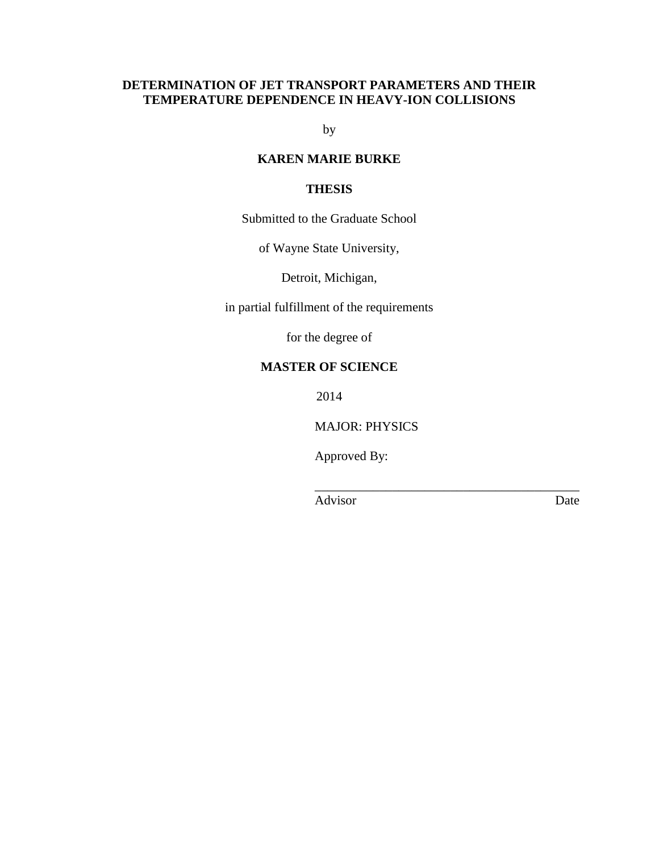# **DETERMINATION OF JET TRANSPORT PARAMETERS AND THEIR TEMPERATURE DEPENDENCE IN HEAVY-ION COLLISIONS**

by

# **KAREN MARIE BURKE**

## **THESIS**

Submitted to the Graduate School

of Wayne State University,

Detroit, Michigan,

in partial fulfillment of the requirements

for the degree of

## **MASTER OF SCIENCE**

2014

MAJOR: PHYSICS

\_\_\_\_\_\_\_\_\_\_\_\_\_\_\_\_\_\_\_\_\_\_\_\_\_\_\_\_\_\_\_\_\_\_\_\_\_\_\_\_\_

Approved By:

Advisor Date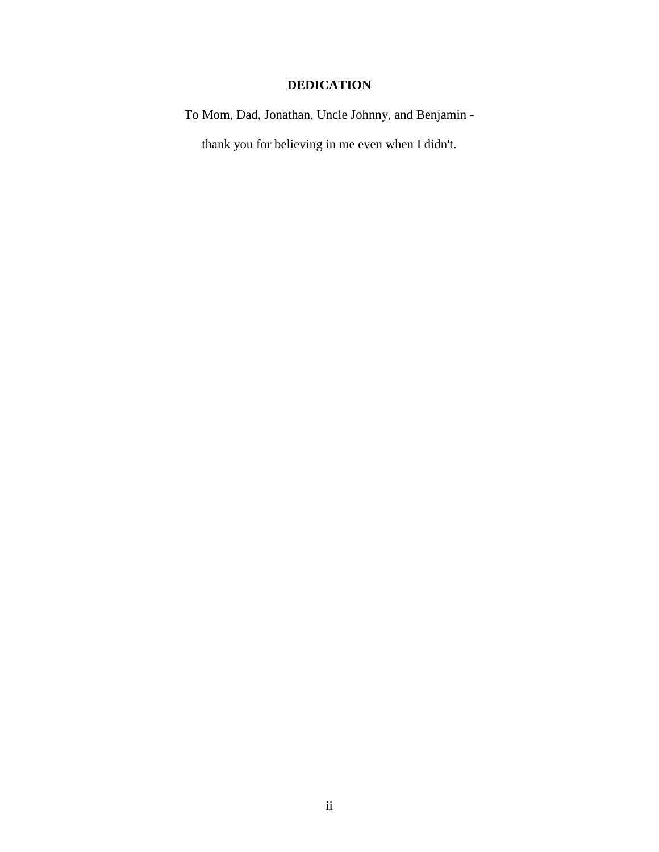# **DEDICATION**

To Mom, Dad, Jonathan, Uncle Johnny, and Benjamin -

thank you for believing in me even when I didn't.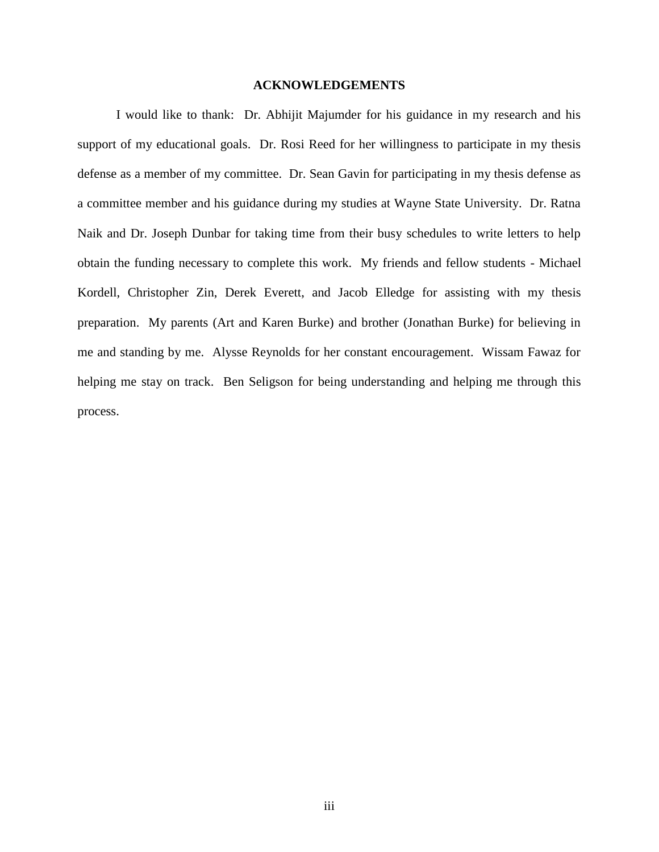## **ACKNOWLEDGEMENTS**

I would like to thank: Dr. Abhijit Majumder for his guidance in my research and his support of my educational goals. Dr. Rosi Reed for her willingness to participate in my thesis defense as a member of my committee. Dr. Sean Gavin for participating in my thesis defense as a committee member and his guidance during my studies at Wayne State University. Dr. Ratna Naik and Dr. Joseph Dunbar for taking time from their busy schedules to write letters to help obtain the funding necessary to complete this work. My friends and fellow students - Michael Kordell, Christopher Zin, Derek Everett, and Jacob Elledge for assisting with my thesis preparation. My parents (Art and Karen Burke) and brother (Jonathan Burke) for believing in me and standing by me. Alysse Reynolds for her constant encouragement. Wissam Fawaz for helping me stay on track. Ben Seligson for being understanding and helping me through this process.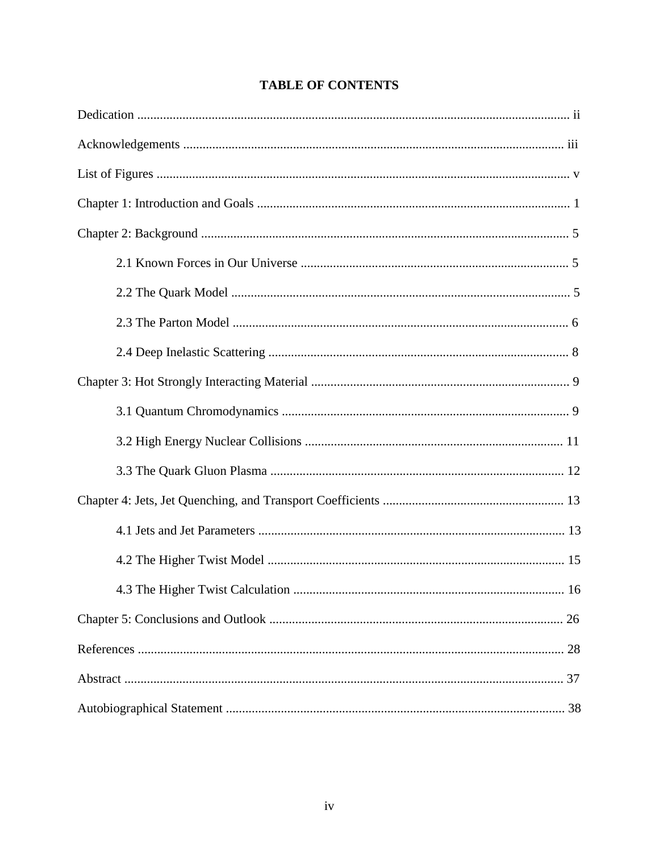# **TABLE OF CONTENTS**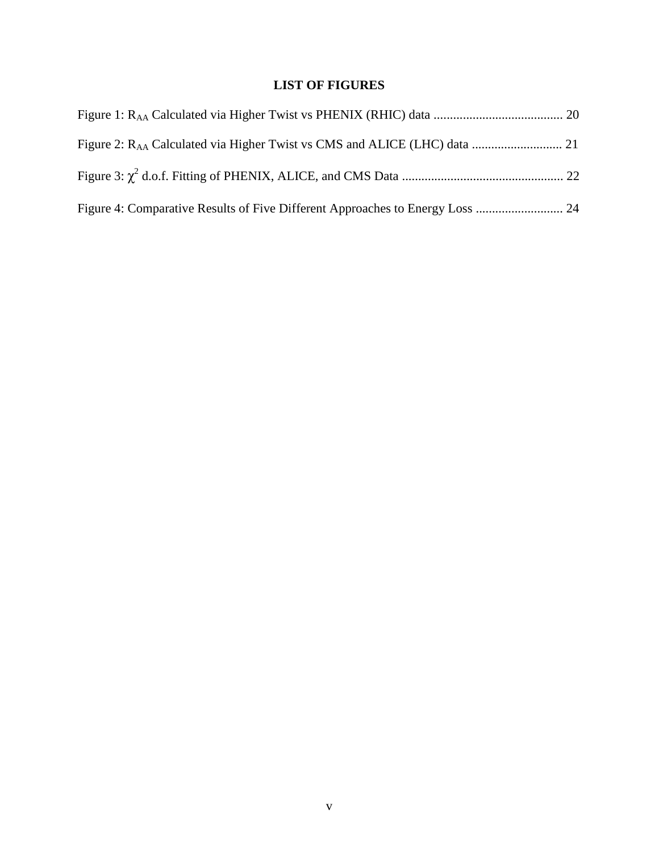# **LIST OF FIGURES**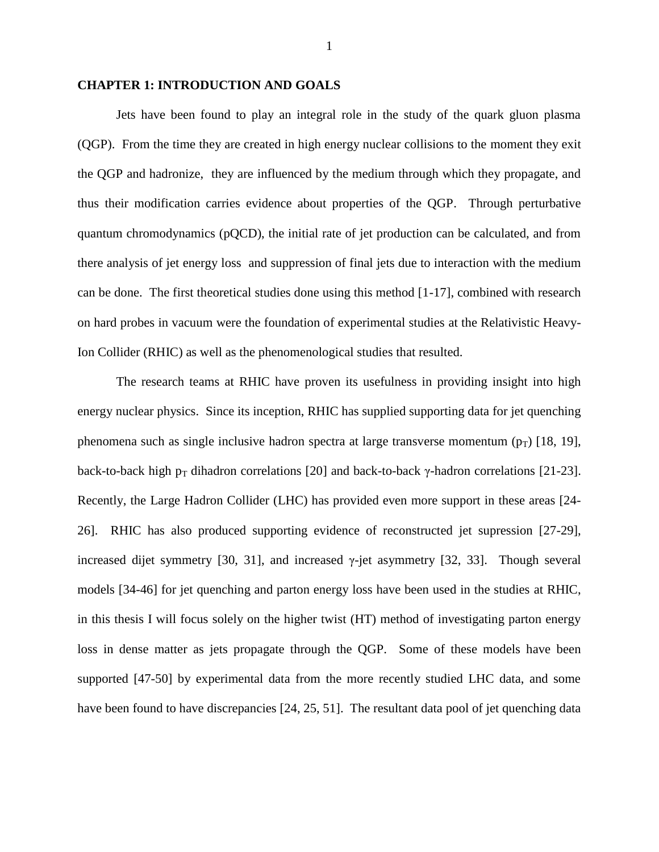#### **CHAPTER 1: INTRODUCTION AND GOALS**

Jets have been found to play an integral role in the study of the quark gluon plasma (QGP). From the time they are created in high energy nuclear collisions to the moment they exit the QGP and hadronize, they are influenced by the medium through which they propagate, and thus their modification carries evidence about properties of the QGP. Through perturbative quantum chromodynamics (pQCD), the initial rate of jet production can be calculated, and from there analysis of jet energy loss and suppression of final jets due to interaction with the medium can be done. The first theoretical studies done using this method [1-17], combined with research on hard probes in vacuum were the foundation of experimental studies at the Relativistic Heavy-Ion Collider (RHIC) as well as the phenomenological studies that resulted.

The research teams at RHIC have proven its usefulness in providing insight into high energy nuclear physics. Since its inception, RHIC has supplied supporting data for jet quenching phenomena such as single inclusive hadron spectra at large transverse momentum  $(p_T)$  [18, 19], back-to-back high  $p_T$  dihadron correlations [20] and back-to-back γ-hadron correlations [21-23]. Recently, the Large Hadron Collider (LHC) has provided even more support in these areas [24- 26]. RHIC has also produced supporting evidence of reconstructed jet supression [27-29], increased dijet symmetry [30, 31], and increased  $\gamma$ -jet asymmetry [32, 33]. Though several models [34-46] for jet quenching and parton energy loss have been used in the studies at RHIC, in this thesis I will focus solely on the higher twist (HT) method of investigating parton energy loss in dense matter as jets propagate through the QGP. Some of these models have been supported [47-50] by experimental data from the more recently studied LHC data, and some have been found to have discrepancies [24, 25, 51]. The resultant data pool of jet quenching data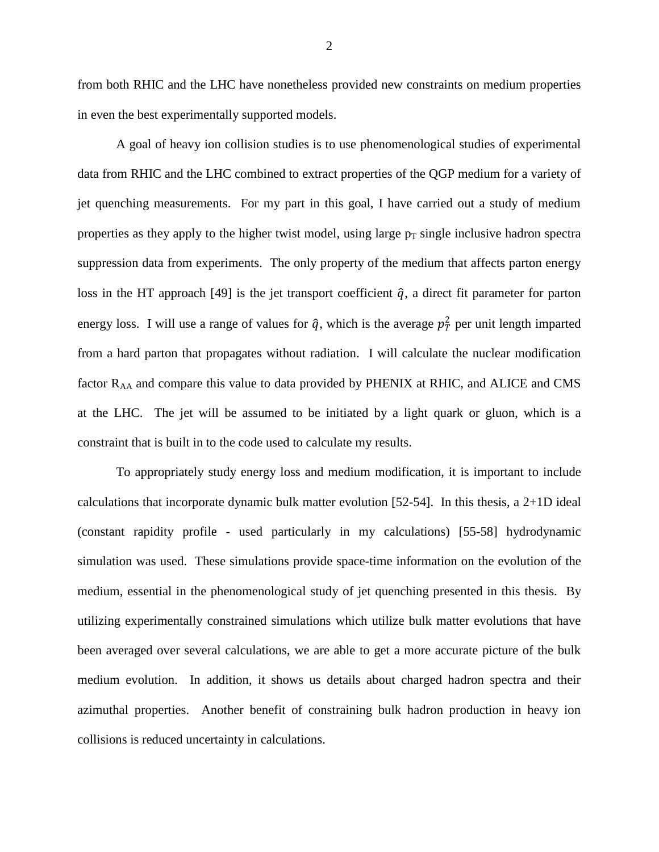from both RHIC and the LHC have nonetheless provided new constraints on medium properties in even the best experimentally supported models.

A goal of heavy ion collision studies is to use phenomenological studies of experimental data from RHIC and the LHC combined to extract properties of the QGP medium for a variety of jet quenching measurements. For my part in this goal, I have carried out a study of medium properties as they apply to the higher twist model, using large  $p<sub>T</sub>$  single inclusive hadron spectra suppression data from experiments. The only property of the medium that affects parton energy loss in the HT approach [49] is the jet transport coefficient  $\hat{q}$ , a direct fit parameter for parton energy loss. I will use a range of values for  $\hat{q}$ , which is the average  $p_T^2$  per unit length imparted from a hard parton that propagates without radiation. I will calculate the nuclear modification factor  $R_{AA}$  and compare this value to data provided by PHENIX at RHIC, and ALICE and CMS at the LHC. The jet will be assumed to be initiated by a light quark or gluon, which is a constraint that is built in to the code used to calculate my results.

To appropriately study energy loss and medium modification, it is important to include calculations that incorporate dynamic bulk matter evolution [52-54]. In this thesis, a 2+1D ideal (constant rapidity profile - used particularly in my calculations) [55-58] hydrodynamic simulation was used. These simulations provide space-time information on the evolution of the medium, essential in the phenomenological study of jet quenching presented in this thesis. By utilizing experimentally constrained simulations which utilize bulk matter evolutions that have been averaged over several calculations, we are able to get a more accurate picture of the bulk medium evolution. In addition, it shows us details about charged hadron spectra and their azimuthal properties. Another benefit of constraining bulk hadron production in heavy ion collisions is reduced uncertainty in calculations.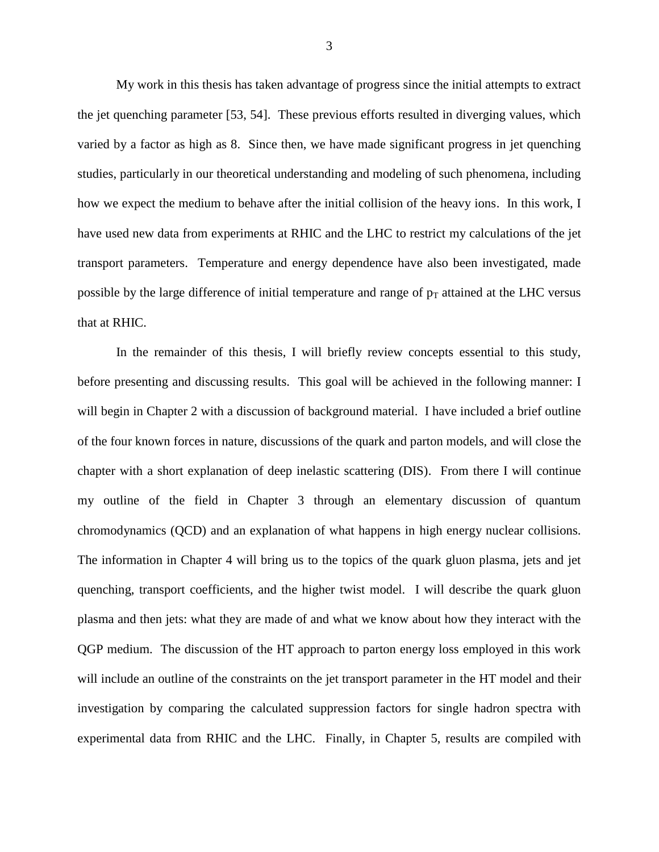My work in this thesis has taken advantage of progress since the initial attempts to extract the jet quenching parameter [53, 54]. These previous efforts resulted in diverging values, which varied by a factor as high as 8. Since then, we have made significant progress in jet quenching studies, particularly in our theoretical understanding and modeling of such phenomena, including how we expect the medium to behave after the initial collision of the heavy ions. In this work, I have used new data from experiments at RHIC and the LHC to restrict my calculations of the jet transport parameters. Temperature and energy dependence have also been investigated, made possible by the large difference of initial temperature and range of  $p_T$  attained at the LHC versus that at RHIC.

In the remainder of this thesis, I will briefly review concepts essential to this study, before presenting and discussing results. This goal will be achieved in the following manner: I will begin in Chapter 2 with a discussion of background material. I have included a brief outline of the four known forces in nature, discussions of the quark and parton models, and will close the chapter with a short explanation of deep inelastic scattering (DIS). From there I will continue my outline of the field in Chapter 3 through an elementary discussion of quantum chromodynamics (QCD) and an explanation of what happens in high energy nuclear collisions. The information in Chapter 4 will bring us to the topics of the quark gluon plasma, jets and jet quenching, transport coefficients, and the higher twist model. I will describe the quark gluon plasma and then jets: what they are made of and what we know about how they interact with the QGP medium. The discussion of the HT approach to parton energy loss employed in this work will include an outline of the constraints on the jet transport parameter in the HT model and their investigation by comparing the calculated suppression factors for single hadron spectra with experimental data from RHIC and the LHC. Finally, in Chapter 5, results are compiled with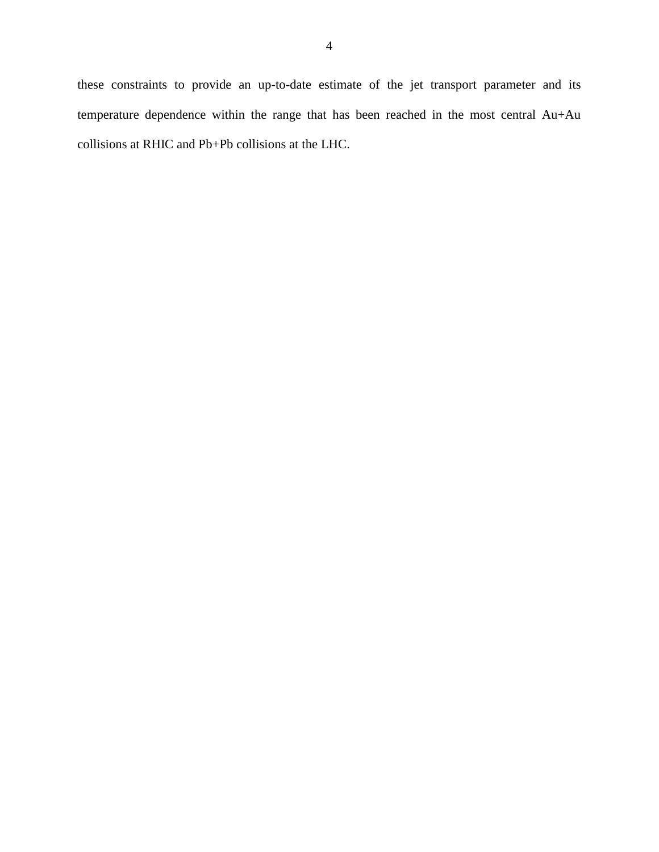these constraints to provide an up-to-date estimate of the jet transport parameter and its temperature dependence within the range that has been reached in the most central Au+Au collisions at RHIC and Pb+Pb collisions at the LHC.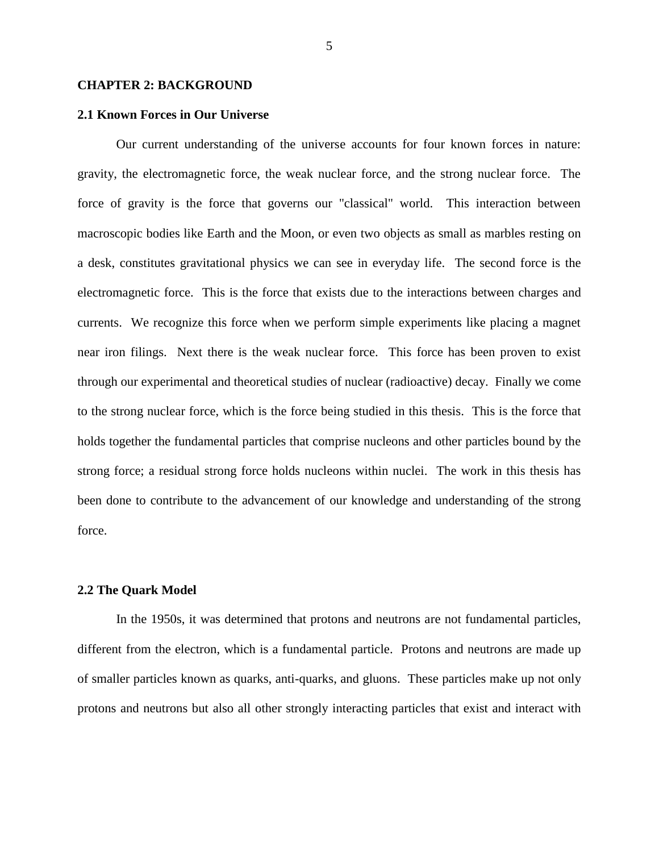#### **CHAPTER 2: BACKGROUND**

#### **2.1 Known Forces in Our Universe**

Our current understanding of the universe accounts for four known forces in nature: gravity, the electromagnetic force, the weak nuclear force, and the strong nuclear force. The force of gravity is the force that governs our "classical" world. This interaction between macroscopic bodies like Earth and the Moon, or even two objects as small as marbles resting on a desk, constitutes gravitational physics we can see in everyday life. The second force is the electromagnetic force. This is the force that exists due to the interactions between charges and currents. We recognize this force when we perform simple experiments like placing a magnet near iron filings. Next there is the weak nuclear force. This force has been proven to exist through our experimental and theoretical studies of nuclear (radioactive) decay. Finally we come to the strong nuclear force, which is the force being studied in this thesis. This is the force that holds together the fundamental particles that comprise nucleons and other particles bound by the strong force; a residual strong force holds nucleons within nuclei. The work in this thesis has been done to contribute to the advancement of our knowledge and understanding of the strong force.

#### **2.2 The Quark Model**

In the 1950s, it was determined that protons and neutrons are not fundamental particles, different from the electron, which is a fundamental particle. Protons and neutrons are made up of smaller particles known as quarks, anti-quarks, and gluons. These particles make up not only protons and neutrons but also all other strongly interacting particles that exist and interact with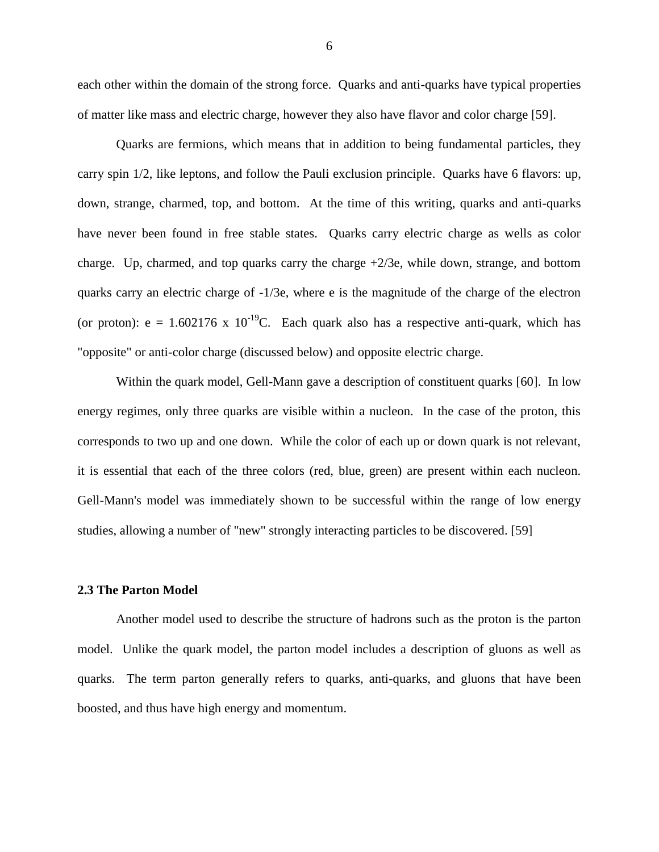each other within the domain of the strong force. Quarks and anti-quarks have typical properties of matter like mass and electric charge, however they also have flavor and color charge [59].

Quarks are fermions, which means that in addition to being fundamental particles, they carry spin 1/2, like leptons, and follow the Pauli exclusion principle. Quarks have 6 flavors: up, down, strange, charmed, top, and bottom. At the time of this writing, quarks and anti-quarks have never been found in free stable states. Quarks carry electric charge as wells as color charge. Up, charmed, and top quarks carry the charge  $+2/3e$ , while down, strange, and bottom quarks carry an electric charge of -1/3e, where e is the magnitude of the charge of the electron (or proton):  $e = 1.602176 \times 10^{-19}$ C. Each quark also has a respective anti-quark, which has "opposite" or anti-color charge (discussed below) and opposite electric charge.

Within the quark model, Gell-Mann gave a description of constituent quarks [60]. In low energy regimes, only three quarks are visible within a nucleon. In the case of the proton, this corresponds to two up and one down. While the color of each up or down quark is not relevant, it is essential that each of the three colors (red, blue, green) are present within each nucleon. Gell-Mann's model was immediately shown to be successful within the range of low energy studies, allowing a number of "new" strongly interacting particles to be discovered. [59]

#### **2.3 The Parton Model**

Another model used to describe the structure of hadrons such as the proton is the parton model. Unlike the quark model, the parton model includes a description of gluons as well as quarks. The term parton generally refers to quarks, anti-quarks, and gluons that have been boosted, and thus have high energy and momentum.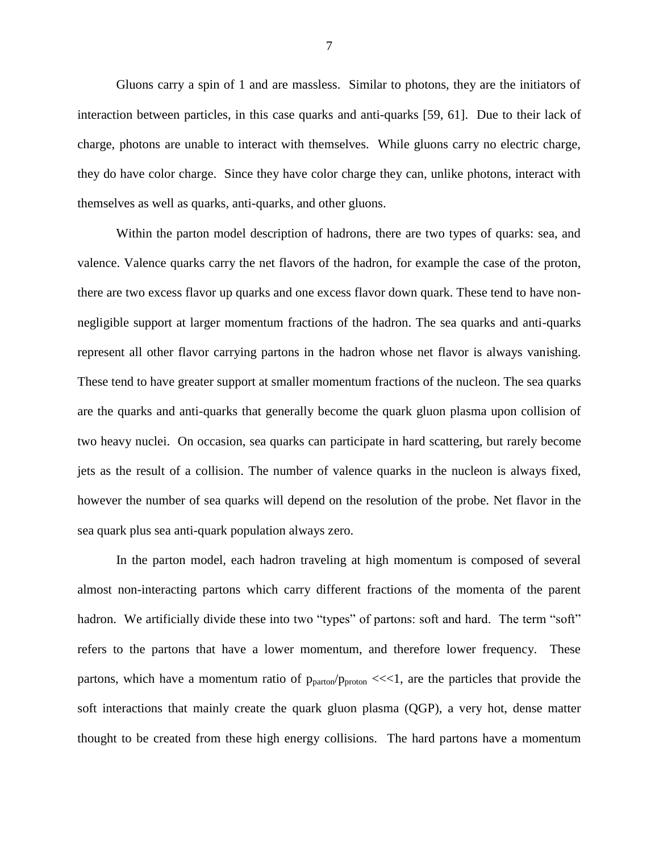Gluons carry a spin of 1 and are massless. Similar to photons, they are the initiators of interaction between particles, in this case quarks and anti-quarks [59, 61]. Due to their lack of charge, photons are unable to interact with themselves. While gluons carry no electric charge, they do have color charge. Since they have color charge they can, unlike photons, interact with themselves as well as quarks, anti-quarks, and other gluons.

Within the parton model description of hadrons, there are two types of quarks: sea, and valence. Valence quarks carry the net flavors of the hadron, for example the case of the proton, there are two excess flavor up quarks and one excess flavor down quark. These tend to have nonnegligible support at larger momentum fractions of the hadron. The sea quarks and anti-quarks represent all other flavor carrying partons in the hadron whose net flavor is always vanishing. These tend to have greater support at smaller momentum fractions of the nucleon. The sea quarks are the quarks and anti-quarks that generally become the quark gluon plasma upon collision of two heavy nuclei. On occasion, sea quarks can participate in hard scattering, but rarely become jets as the result of a collision. The number of valence quarks in the nucleon is always fixed, however the number of sea quarks will depend on the resolution of the probe. Net flavor in the sea quark plus sea anti-quark population always zero.

In the parton model, each hadron traveling at high momentum is composed of several almost non-interacting partons which carry different fractions of the momenta of the parent hadron. We artificially divide these into two "types" of partons: soft and hard. The term "soft" refers to the partons that have a lower momentum, and therefore lower frequency. These partons, which have a momentum ratio of  $p_{parton}/p_{proton} \ll 1$ , are the particles that provide the soft interactions that mainly create the quark gluon plasma (QGP), a very hot, dense matter thought to be created from these high energy collisions. The hard partons have a momentum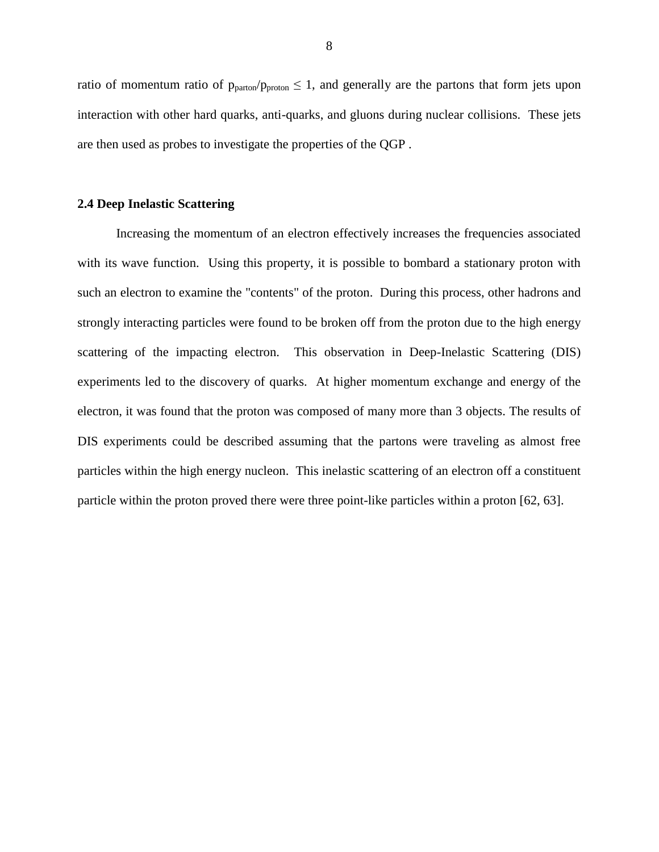ratio of momentum ratio of  $p_{parton}/p_{proton} \leq 1$ , and generally are the partons that form jets upon interaction with other hard quarks, anti-quarks, and gluons during nuclear collisions. These jets are then used as probes to investigate the properties of the QGP .

#### **2.4 Deep Inelastic Scattering**

Increasing the momentum of an electron effectively increases the frequencies associated with its wave function. Using this property, it is possible to bombard a stationary proton with such an electron to examine the "contents" of the proton. During this process, other hadrons and strongly interacting particles were found to be broken off from the proton due to the high energy scattering of the impacting electron. This observation in Deep-Inelastic Scattering (DIS) experiments led to the discovery of quarks. At higher momentum exchange and energy of the electron, it was found that the proton was composed of many more than 3 objects. The results of DIS experiments could be described assuming that the partons were traveling as almost free particles within the high energy nucleon. This inelastic scattering of an electron off a constituent particle within the proton proved there were three point-like particles within a proton [62, 63].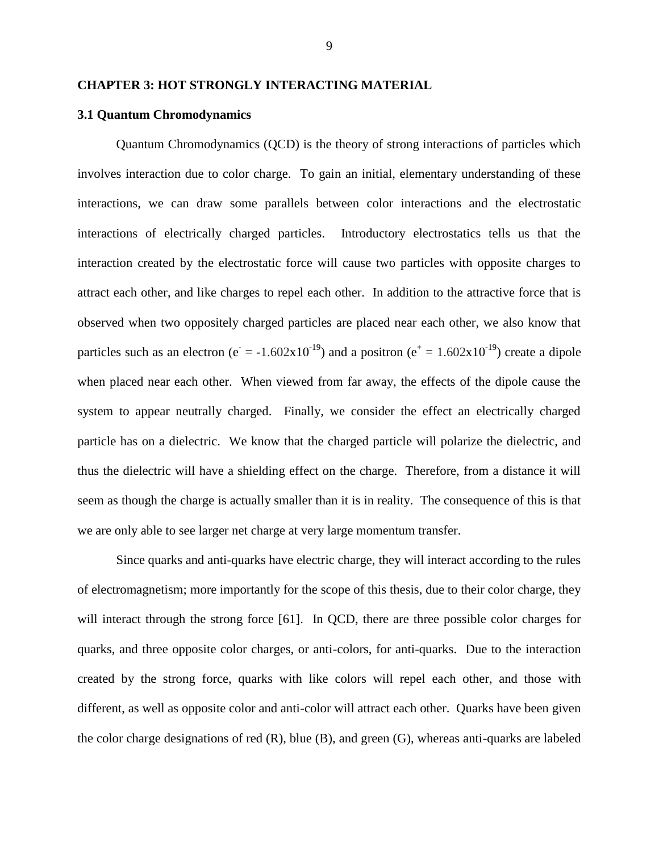#### **CHAPTER 3: HOT STRONGLY INTERACTING MATERIAL**

#### **3.1 Quantum Chromodynamics**

Quantum Chromodynamics (QCD) is the theory of strong interactions of particles which involves interaction due to color charge. To gain an initial, elementary understanding of these interactions, we can draw some parallels between color interactions and the electrostatic interactions of electrically charged particles. Introductory electrostatics tells us that the interaction created by the electrostatic force will cause two particles with opposite charges to attract each other, and like charges to repel each other. In addition to the attractive force that is observed when two oppositely charged particles are placed near each other, we also know that particles such as an electron ( $e^- = -1.602 \times 10^{-19}$ ) and a positron ( $e^+ = 1.602 \times 10^{-19}$ ) create a dipole when placed near each other. When viewed from far away, the effects of the dipole cause the system to appear neutrally charged. Finally, we consider the effect an electrically charged particle has on a dielectric. We know that the charged particle will polarize the dielectric, and thus the dielectric will have a shielding effect on the charge. Therefore, from a distance it will seem as though the charge is actually smaller than it is in reality. The consequence of this is that we are only able to see larger net charge at very large momentum transfer.

Since quarks and anti-quarks have electric charge, they will interact according to the rules of electromagnetism; more importantly for the scope of this thesis, due to their color charge, they will interact through the strong force [61]. In QCD, there are three possible color charges for quarks, and three opposite color charges, or anti-colors, for anti-quarks. Due to the interaction created by the strong force, quarks with like colors will repel each other, and those with different, as well as opposite color and anti-color will attract each other. Quarks have been given the color charge designations of red  $(R)$ , blue  $(B)$ , and green  $(G)$ , whereas anti-quarks are labeled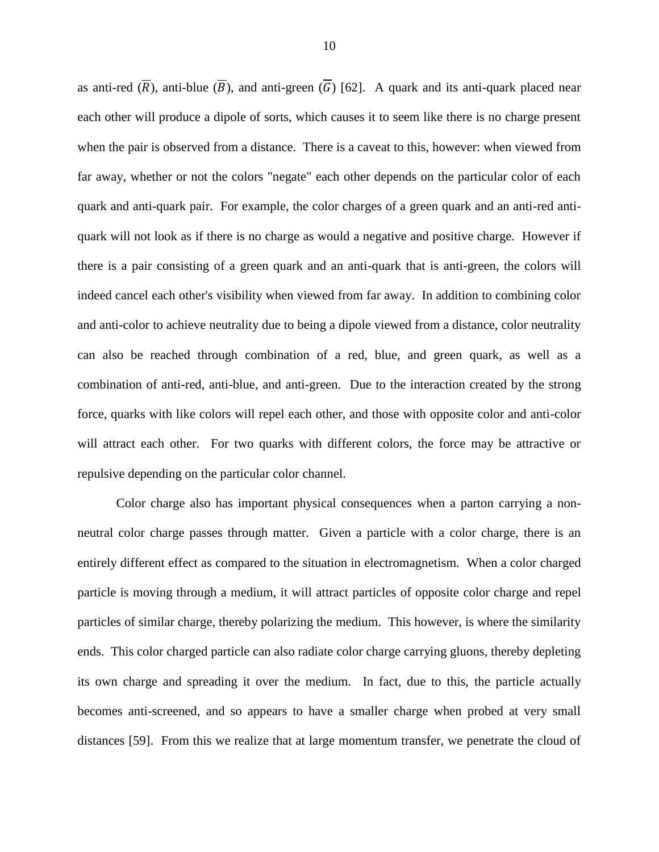as anti-red  $(\overline{R})$ , anti-blue  $(\overline{B})$ , and anti-green  $(\overline{G})$  [62]. A quark and its anti-quark placed near each other will produce a dipole of sorts, which causes it to seem like there is no charge present when the pair is observed from a distance. There is a caveat to this, however: when viewed from far away, whether or not the colors "negate" each other depends on the particular color of each quark and anti-quark pair. For example, the color charges of a green quark and an anti-red antiquark will not look as if there is no charge as would a negative and positive charge. However if there is a pair consisting of a green quark and an anti-quark that is anti-green, the colors will indeed cancel each other's visibility when viewed from far away. In addition to combining color and anti-color to achieve neutrality due to being a dipole viewed from a distance, color neutrality can also be reached through combination of a red, blue, and green quark, as well as a combination of anti-red, anti-blue, and anti-green. Due to the interaction created by the strong force, quarks with like colors will repel each other, and those with opposite color and anti-color will attract each other. For two quarks with different colors, the force may be attractive or repulsive depending on the particular color channel.

Color charge also has important physical consequences when a parton carrying a nonneutral color charge passes through matter. Given a particle with a color charge, there is an entirely different effect as compared to the situation in electromagnetism. When a color charged particle is moving through a medium, it will attract particles of opposite color charge and repel particles of similar charge, thereby polarizing the medium. This however, is where the similarity ends. This color charged particle can also radiate color charge carrying gluons, thereby depleting its own charge and spreading it over the medium. In fact, due to this, the particle actually becomes anti-screened, and so appears to have a smaller charge when probed at very small distances [59]. From this we realize that at large momentum transfer, we penetrate the cloud of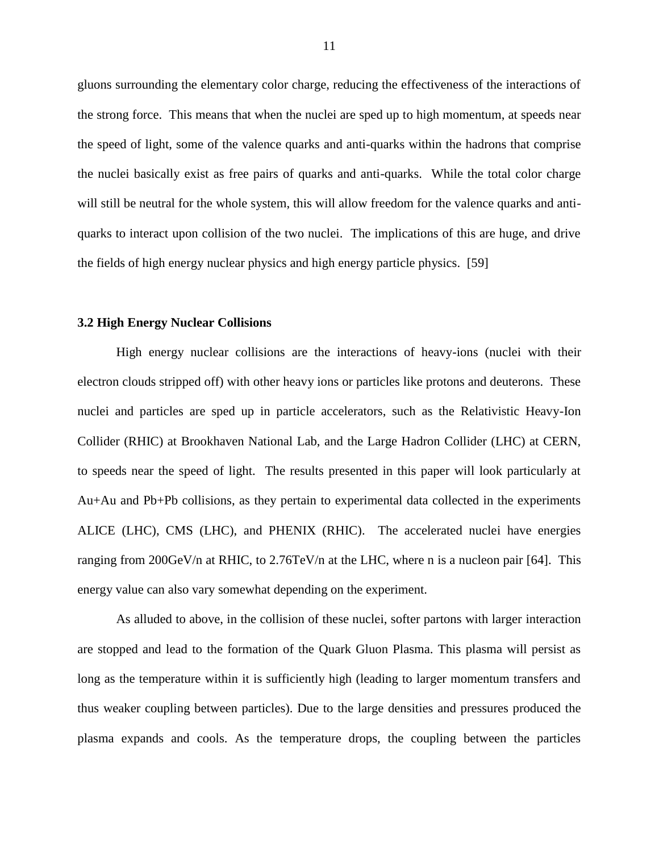gluons surrounding the elementary color charge, reducing the effectiveness of the interactions of the strong force. This means that when the nuclei are sped up to high momentum, at speeds near the speed of light, some of the valence quarks and anti-quarks within the hadrons that comprise the nuclei basically exist as free pairs of quarks and anti-quarks. While the total color charge will still be neutral for the whole system, this will allow freedom for the valence quarks and antiquarks to interact upon collision of the two nuclei. The implications of this are huge, and drive the fields of high energy nuclear physics and high energy particle physics. [59]

#### **3.2 High Energy Nuclear Collisions**

High energy nuclear collisions are the interactions of heavy-ions (nuclei with their electron clouds stripped off) with other heavy ions or particles like protons and deuterons. These nuclei and particles are sped up in particle accelerators, such as the Relativistic Heavy-Ion Collider (RHIC) at Brookhaven National Lab, and the Large Hadron Collider (LHC) at CERN, to speeds near the speed of light. The results presented in this paper will look particularly at Au+Au and Pb+Pb collisions, as they pertain to experimental data collected in the experiments ALICE (LHC), CMS (LHC), and PHENIX (RHIC). The accelerated nuclei have energies ranging from 200GeV/n at RHIC, to 2.76TeV/n at the LHC, where n is a nucleon pair [64]. This energy value can also vary somewhat depending on the experiment.

As alluded to above, in the collision of these nuclei, softer partons with larger interaction are stopped and lead to the formation of the Quark Gluon Plasma. This plasma will persist as long as the temperature within it is sufficiently high (leading to larger momentum transfers and thus weaker coupling between particles). Due to the large densities and pressures produced the plasma expands and cools. As the temperature drops, the coupling between the particles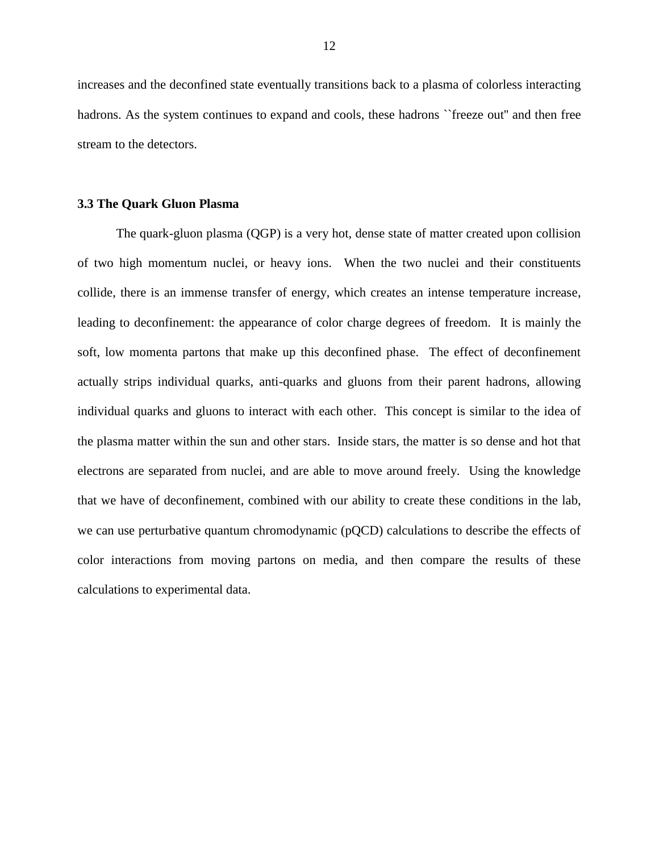increases and the deconfined state eventually transitions back to a plasma of colorless interacting hadrons. As the system continues to expand and cools, these hadrons "freeze out" and then free stream to the detectors.

#### **3.3 The Quark Gluon Plasma**

The quark-gluon plasma (QGP) is a very hot, dense state of matter created upon collision of two high momentum nuclei, or heavy ions. When the two nuclei and their constituents collide, there is an immense transfer of energy, which creates an intense temperature increase, leading to deconfinement: the appearance of color charge degrees of freedom. It is mainly the soft, low momenta partons that make up this deconfined phase. The effect of deconfinement actually strips individual quarks, anti-quarks and gluons from their parent hadrons, allowing individual quarks and gluons to interact with each other. This concept is similar to the idea of the plasma matter within the sun and other stars. Inside stars, the matter is so dense and hot that electrons are separated from nuclei, and are able to move around freely. Using the knowledge that we have of deconfinement, combined with our ability to create these conditions in the lab, we can use perturbative quantum chromodynamic (pQCD) calculations to describe the effects of color interactions from moving partons on media, and then compare the results of these calculations to experimental data.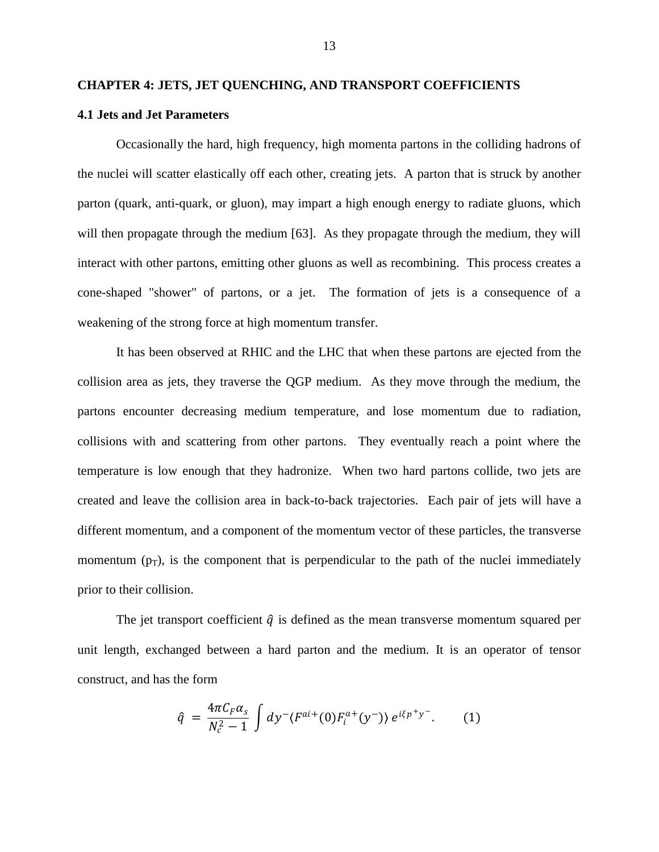#### **CHAPTER 4: JETS, JET QUENCHING, AND TRANSPORT COEFFICIENTS**

#### **4.1 Jets and Jet Parameters**

Occasionally the hard, high frequency, high momenta partons in the colliding hadrons of the nuclei will scatter elastically off each other, creating jets. A parton that is struck by another parton (quark, anti-quark, or gluon), may impart a high enough energy to radiate gluons, which will then propagate through the medium [63]. As they propagate through the medium, they will interact with other partons, emitting other gluons as well as recombining. This process creates a cone-shaped "shower" of partons, or a jet. The formation of jets is a consequence of a weakening of the strong force at high momentum transfer.

It has been observed at RHIC and the LHC that when these partons are ejected from the collision area as jets, they traverse the QGP medium. As they move through the medium, the partons encounter decreasing medium temperature, and lose momentum due to radiation, collisions with and scattering from other partons. They eventually reach a point where the temperature is low enough that they hadronize. When two hard partons collide, two jets are created and leave the collision area in back-to-back trajectories. Each pair of jets will have a different momentum, and a component of the momentum vector of these particles, the transverse momentum  $(p_T)$ , is the component that is perpendicular to the path of the nuclei immediately prior to their collision.

The jet transport coefficient  $\hat{q}$  is defined as the mean transverse momentum squared per unit length, exchanged between a hard parton and the medium. It is an operator of tensor construct, and has the form

$$
\hat{q} = \frac{4\pi C_F \alpha_s}{N_c^2 - 1} \int dy^- \langle F^{ai+}(0) F_i^{a+}(y^-) \rangle e^{i\xi p^+ y^-}. \tag{1}
$$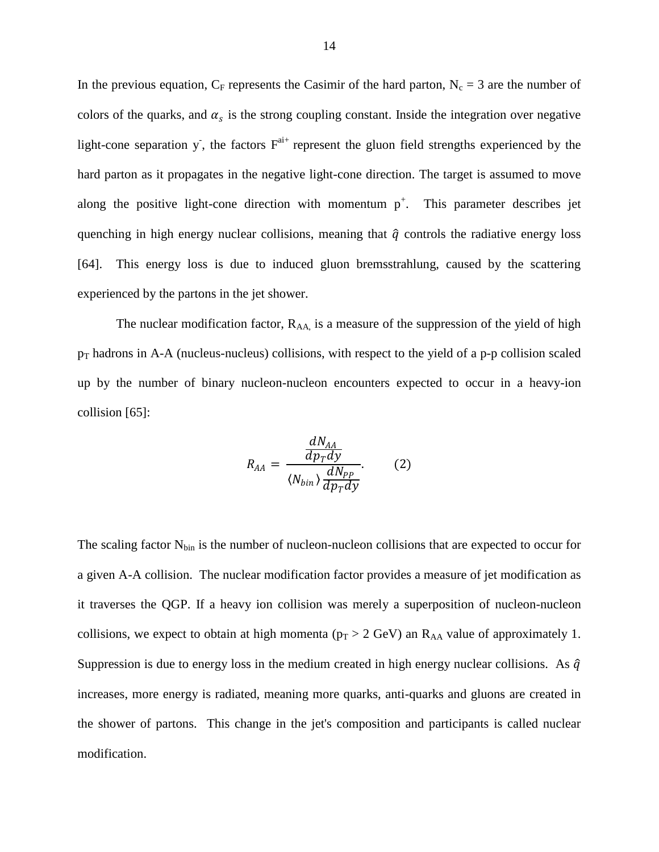In the previous equation,  $C_F$  represents the Casimir of the hard parton,  $N_c = 3$  are the number of colors of the quarks, and  $\alpha_s$  is the strong coupling constant. Inside the integration over negative light-cone separation y, the factors  $F^{a+i}$  represent the gluon field strengths experienced by the hard parton as it propagates in the negative light-cone direction. The target is assumed to move along the positive light-cone direction with momentum  $p^+$ . This parameter describes jet quenching in high energy nuclear collisions, meaning that  $\hat{q}$  controls the radiative energy loss [64]. This energy loss is due to induced gluon bremsstrahlung, caused by the scattering experienced by the partons in the jet shower.

The nuclear modification factor,  $R_{AA}$  is a measure of the suppression of the yield of high  $p_T$  hadrons in A-A (nucleus-nucleus) collisions, with respect to the yield of a p-p collision scaled up by the number of binary nucleon-nucleon encounters expected to occur in a heavy-ion collision [65]:

$$
R_{AA} = \frac{\frac{dN_{AA}}{dp_T dy}}{\langle N_{bin} \rangle \frac{dN_{PP}}{dp_T dy}}.
$$
 (2)

The scaling factor  $N_{bin}$  is the number of nucleon-nucleon collisions that are expected to occur for a given A-A collision. The nuclear modification factor provides a measure of jet modification as it traverses the QGP. If a heavy ion collision was merely a superposition of nucleon-nucleon collisions, we expect to obtain at high momenta ( $p_T > 2$  GeV) an R<sub>AA</sub> value of approximately 1. Suppression is due to energy loss in the medium created in high energy nuclear collisions. As  $\hat{q}$ increases, more energy is radiated, meaning more quarks, anti-quarks and gluons are created in the shower of partons. This change in the jet's composition and participants is called nuclear modification.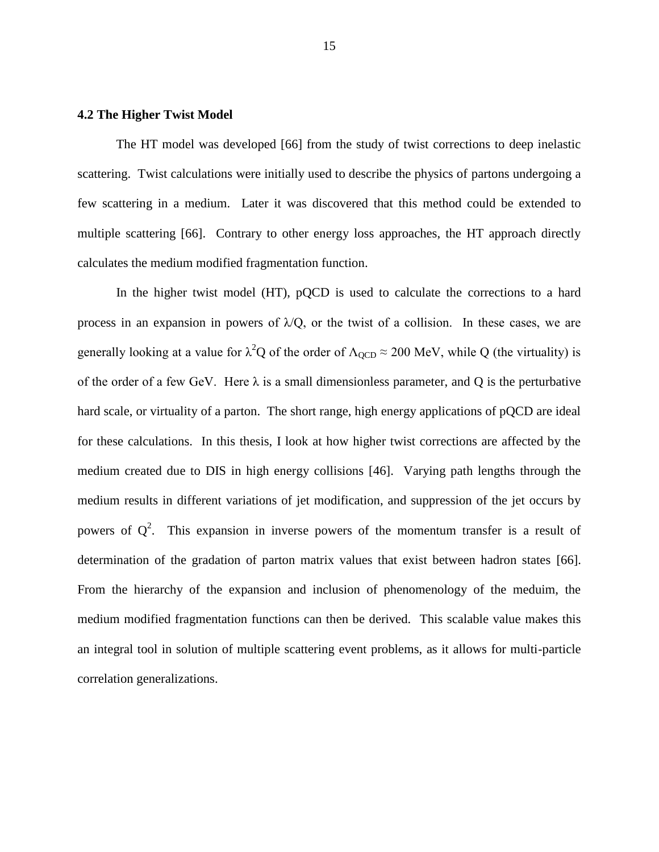#### **4.2 The Higher Twist Model**

The HT model was developed [66] from the study of twist corrections to deep inelastic scattering. Twist calculations were initially used to describe the physics of partons undergoing a few scattering in a medium. Later it was discovered that this method could be extended to multiple scattering [66]. Contrary to other energy loss approaches, the HT approach directly calculates the medium modified fragmentation function.

In the higher twist model (HT), pQCD is used to calculate the corrections to a hard process in an expansion in powers of  $\lambda$ Q, or the twist of a collision. In these cases, we are generally looking at a value for  $\lambda^2 Q$  of the order of  $\Lambda_{\text{QCD}} \approx 200 \text{ MeV}$ , while Q (the virtuality) is of the order of a few GeV. Here  $\lambda$  is a small dimensionless parameter, and Q is the perturbative hard scale, or virtuality of a parton. The short range, high energy applications of pQCD are ideal for these calculations. In this thesis, I look at how higher twist corrections are affected by the medium created due to DIS in high energy collisions [46]. Varying path lengths through the medium results in different variations of jet modification, and suppression of the jet occurs by powers of  $Q^2$ . This expansion in inverse powers of the momentum transfer is a result of determination of the gradation of parton matrix values that exist between hadron states [66]. From the hierarchy of the expansion and inclusion of phenomenology of the meduim, the medium modified fragmentation functions can then be derived. This scalable value makes this an integral tool in solution of multiple scattering event problems, as it allows for multi-particle correlation generalizations.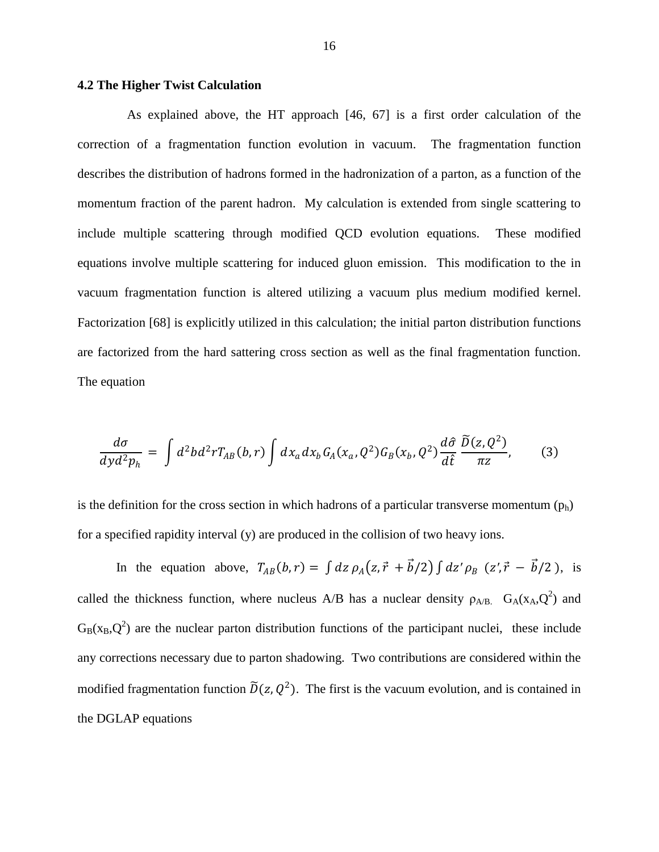#### **4.2 The Higher Twist Calculation**

As explained above, the HT approach [46, 67] is a first order calculation of the correction of a fragmentation function evolution in vacuum. The fragmentation function describes the distribution of hadrons formed in the hadronization of a parton, as a function of the momentum fraction of the parent hadron. My calculation is extended from single scattering to include multiple scattering through modified QCD evolution equations. These modified equations involve multiple scattering for induced gluon emission. This modification to the in vacuum fragmentation function is altered utilizing a vacuum plus medium modified kernel. Factorization [68] is explicitly utilized in this calculation; the initial parton distribution functions are factorized from the hard sattering cross section as well as the final fragmentation function. The equation

$$
\frac{d\sigma}{dy d^2 p_h} = \int d^2 b d^2 r T_{AB}(b, r) \int dx_a dx_b G_A(x_a, Q^2) G_B(x_b, Q^2) \frac{d\hat{\sigma}}{d\hat{t}} \frac{\tilde{D}(z, Q^2)}{\pi z}, \tag{3}
$$

is the definition for the cross section in which hadrons of a particular transverse momentum  $(p_h)$ for a specified rapidity interval (y) are produced in the collision of two heavy ions.

In the equation above,  $T_{AB}(b,r) = \int dz \rho_A(z,\vec{r} + \vec{b}/2) \int dz' \rho_B (z',\vec{r} - \vec{b}/2)$ , is called the thickness function, where nucleus A/B has a nuclear density  $\rho_{A/B}$ .  $G_A(x_A, Q^2)$  and  $G_B(x_B, Q^2)$  are the nuclear parton distribution functions of the participant nuclei, these include any corrections necessary due to parton shadowing. Two contributions are considered within the modified fragmentation function  $\tilde{D}(z, Q^2)$ . The first is the vacuum evolution, and is contained in the DGLAP equations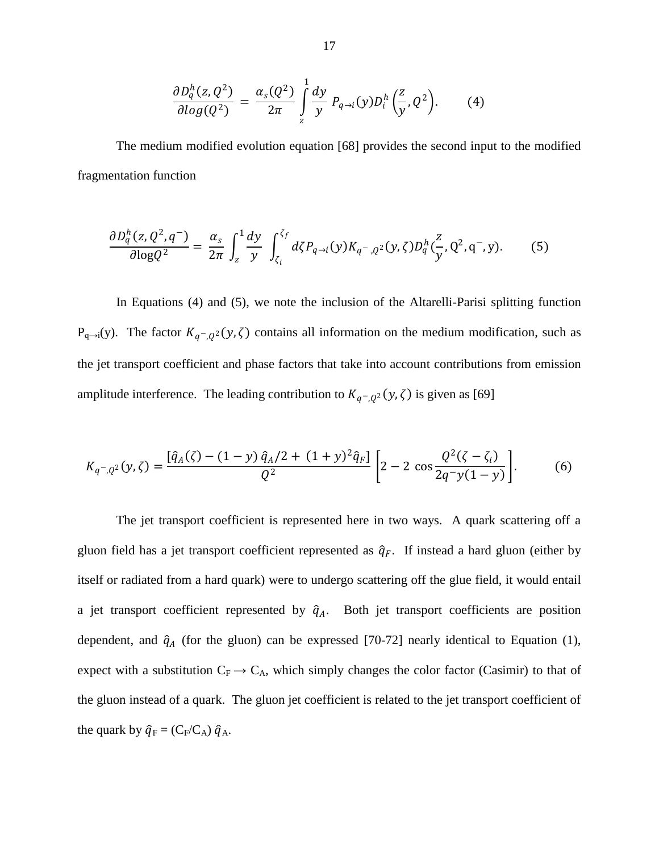$$
\frac{\partial D_q^h(z,Q^2)}{\partial log(Q^2)} = \frac{\alpha_s(Q^2)}{2\pi} \int\limits_{z}^1 \frac{dy}{y} P_{q \to i}(y) D_i^h\left(\frac{z}{y},Q^2\right). \tag{4}
$$

The medium modified evolution equation [68] provides the second input to the modified fragmentation function

$$
\frac{\partial D_q^h(z, Q^2, q^-)}{\partial \log Q^2} = \frac{\alpha_s}{2\pi} \int_z^1 \frac{dy}{y} \int_{\zeta_i}^{\zeta_f} d\zeta P_{q \to i}(y) K_{q^-,\, Q^2}(y, \zeta) D_q^h(\frac{z}{y}, Q^2, q^-, y). \tag{5}
$$

In Equations (4) and (5), we note the inclusion of the Altarelli-Parisi splitting function  $P_{q\to i}(y)$ . The factor  $K_{q^-,Q^2}(y,\zeta)$  contains all information on the medium modification, such as the jet transport coefficient and phase factors that take into account contributions from emission amplitude interference. The leading contribution to  $K_{q^-,Q^2}(y,\zeta)$  is given as [69]

$$
K_{q^-,Q^2}(y,\zeta) = \frac{\left[\hat{q}_A(\zeta) - (1-y)\,\hat{q}_A/2 + (1+y)^2\hat{q}_F\right]}{Q^2} \left[2 - 2\,\cos\frac{Q^2(\zeta - \zeta_i)}{2q^-\mathcal{y}(1-\mathcal{y})}\right].\tag{6}
$$

The jet transport coefficient is represented here in two ways. A quark scattering off a gluon field has a jet transport coefficient represented as  $\hat{q}_F$ . If instead a hard gluon (either by itself or radiated from a hard quark) were to undergo scattering off the glue field, it would entail a jet transport coefficient represented by  $\hat{q}_A$ . Both jet transport coefficients are position dependent, and  $\hat{q}_A$  (for the gluon) can be expressed [70-72] nearly identical to Equation (1), expect with a substitution  $C_F \rightarrow C_A$ , which simply changes the color factor (Casimir) to that of the gluon instead of a quark. The gluon jet coefficient is related to the jet transport coefficient of the quark by  $\hat{q}_F = (C_F/C_A) \hat{q}_A$ .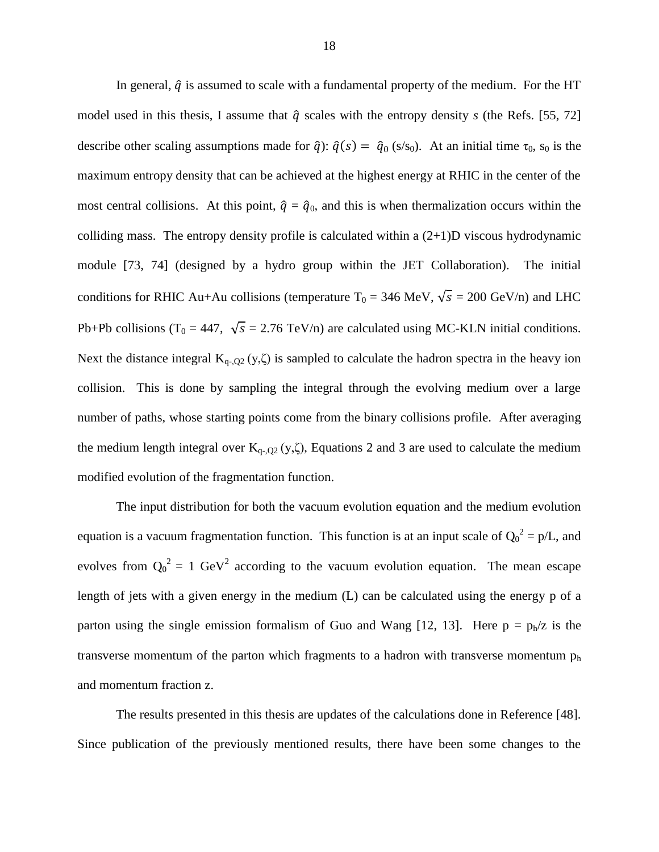In general,  $\hat{q}$  is assumed to scale with a fundamental property of the medium. For the HT model used in this thesis, I assume that  $\hat{q}$  scales with the entropy density *s* (the Refs. [55, 72] describe other scaling assumptions made for  $\hat{q}$ ):  $\hat{q}(s) = \hat{q}_0$  (s/s<sub>0</sub>). At an initial time  $\tau_0$ , s<sub>0</sub> is the maximum entropy density that can be achieved at the highest energy at RHIC in the center of the most central collisions. At this point,  $\hat{q} = \hat{q}_0$ , and this is when thermalization occurs within the colliding mass. The entropy density profile is calculated within a  $(2+1)D$  viscous hydrodynamic module [73, 74] (designed by a hydro group within the JET Collaboration). The initial conditions for RHIC Au+Au collisions (temperature  $T_0 = 346$  MeV,  $\sqrt{s} = 200$  GeV/n) and LHC Pb+Pb collisions (T<sub>0</sub> = 447,  $\sqrt{s}$  = 2.76 TeV/n) are calculated using MC-KLN initial conditions. Next the distance integral  $K_{q-2}(y,\zeta)$  is sampled to calculate the hadron spectra in the heavy ion collision. This is done by sampling the integral through the evolving medium over a large number of paths, whose starting points come from the binary collisions profile. After averaging the medium length integral over  $K_{q-$ ,  $Q_2(y, \zeta)$ , Equations 2 and 3 are used to calculate the medium modified evolution of the fragmentation function.

The input distribution for both the vacuum evolution equation and the medium evolution equation is a vacuum fragmentation function. This function is at an input scale of  $Q_0^2 = p/L$ , and evolves from  $Q_0^2 = 1$  GeV<sup>2</sup> according to the vacuum evolution equation. The mean escape length of jets with a given energy in the medium (L) can be calculated using the energy p of a parton using the single emission formalism of Guo and Wang [12, 13]. Here  $p = p_h/z$  is the transverse momentum of the parton which fragments to a hadron with transverse momentum  $p<sub>h</sub>$ and momentum fraction z.

The results presented in this thesis are updates of the calculations done in Reference [48]. Since publication of the previously mentioned results, there have been some changes to the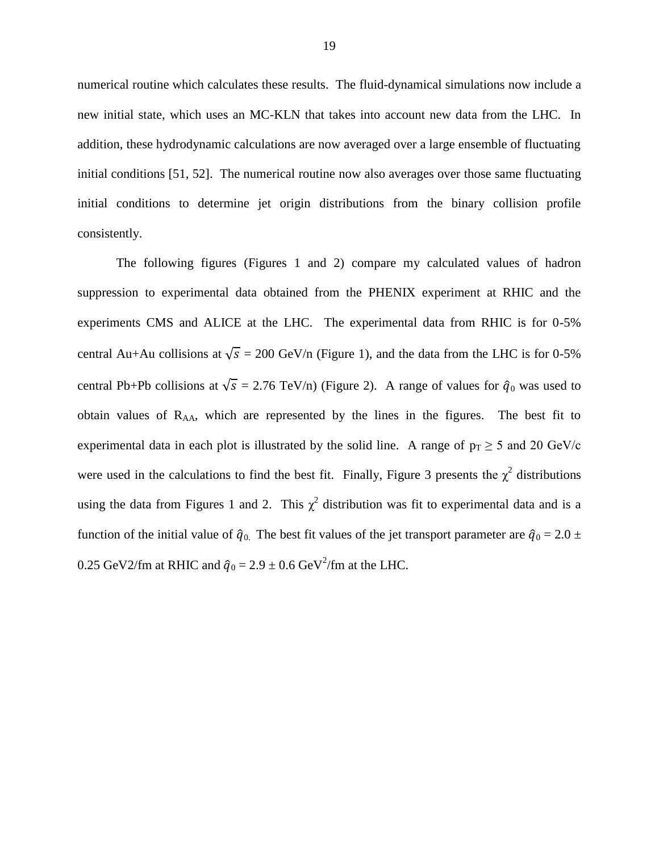numerical routine which calculates these results. The fluid-dynamical simulations now include a new initial state, which uses an MC-KLN that takes into account new data from the LHC. In addition, these hydrodynamic calculations are now averaged over a large ensemble of fluctuating initial conditions [51, 52]. The numerical routine now also averages over those same fluctuating initial conditions to determine jet origin distributions from the binary collision profile consistently.

The following figures (Figures 1 and 2) compare my calculated values of hadron suppression to experimental data obtained from the PHENIX experiment at RHIC and the experiments CMS and ALICE at the LHC. The experimental data from RHIC is for 0-5% central Au+Au collisions at  $\sqrt{s} = 200$  GeV/n (Figure 1), and the data from the LHC is for 0-5% central Pb+Pb collisions at  $\sqrt{s} = 2.76$  TeV/n) (Figure 2). A range of values for  $\hat{q}_0$  was used to obtain values of RAA, which are represented by the lines in the figures. The best fit to experimental data in each plot is illustrated by the solid line. A range of  $p_T \ge 5$  and 20 GeV/c were used in the calculations to find the best fit. Finally, Figure 3 presents the  $\chi^2$  distributions using the data from Figures 1 and 2. This  $\chi^2$  distribution was fit to experimental data and is a function of the initial value of  $\hat{q}_0$ . The best fit values of the jet transport parameter are  $\hat{q}_0 = 2.0 \pm 1$ 0.25 GeV2/fm at RHIC and  $\hat{q}_0 = 2.9 \pm 0.6$  GeV<sup>2</sup>/fm at the LHC.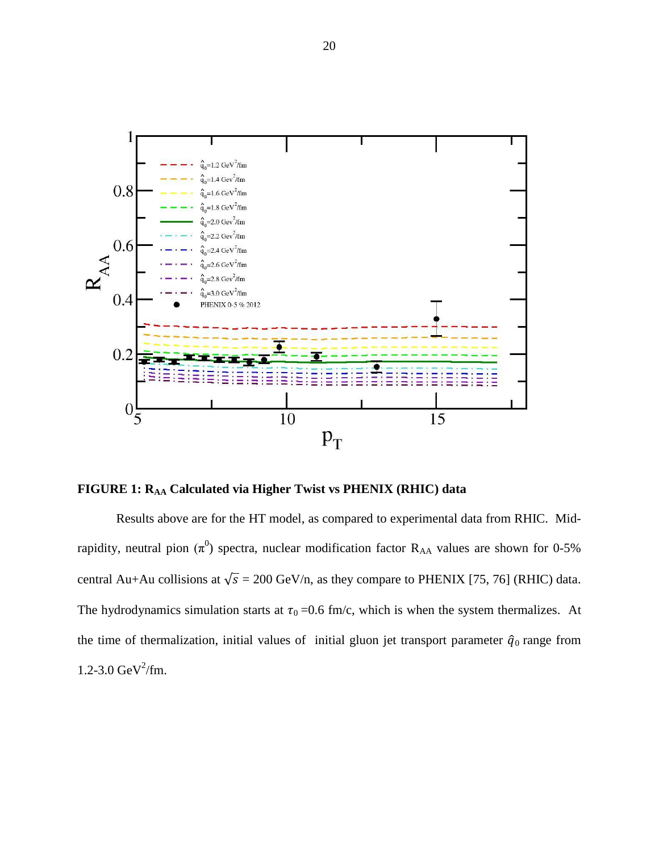

**FIGURE 1: RAA Calculated via Higher Twist vs PHENIX (RHIC) data**

Results above are for the HT model, as compared to experimental data from RHIC. Midrapidity, neutral pion  $(\pi^0)$  spectra, nuclear modification factor R<sub>AA</sub> values are shown for 0-5% central Au+Au collisions at  $\sqrt{s} = 200$  GeV/n, as they compare to PHENIX [75, 76] (RHIC) data. The hydrodynamics simulation starts at  $\tau_0 = 0.6$  fm/c, which is when the system thermalizes. At the time of thermalization, initial values of initial gluon jet transport parameter  $\hat{q}_0$  range from  $1.2 - 3.0 \text{ GeV}^2/\text{fm}$ .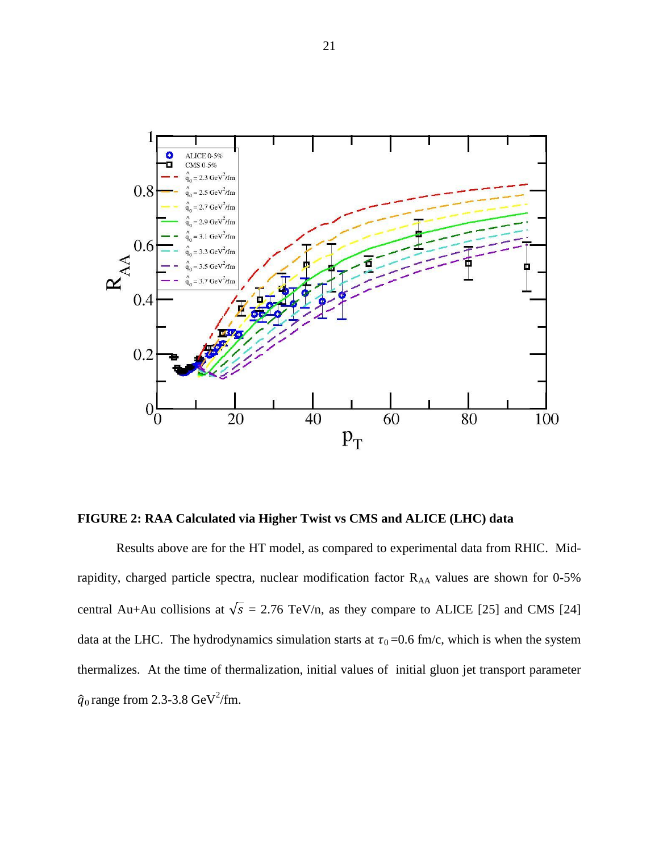

**FIGURE 2: RAA Calculated via Higher Twist vs CMS and ALICE (LHC) data**

Results above are for the HT model, as compared to experimental data from RHIC. Midrapidity, charged particle spectra, nuclear modification factor R<sub>AA</sub> values are shown for 0-5% central Au+Au collisions at  $\sqrt{s}$  = 2.76 TeV/n, as they compare to ALICE [25] and CMS [24] data at the LHC. The hydrodynamics simulation starts at  $\tau_0 = 0.6$  fm/c, which is when the system thermalizes. At the time of thermalization, initial values of initial gluon jet transport parameter  $\hat{q}_0$  range from 2.3-3.8 GeV<sup>2</sup>/fm.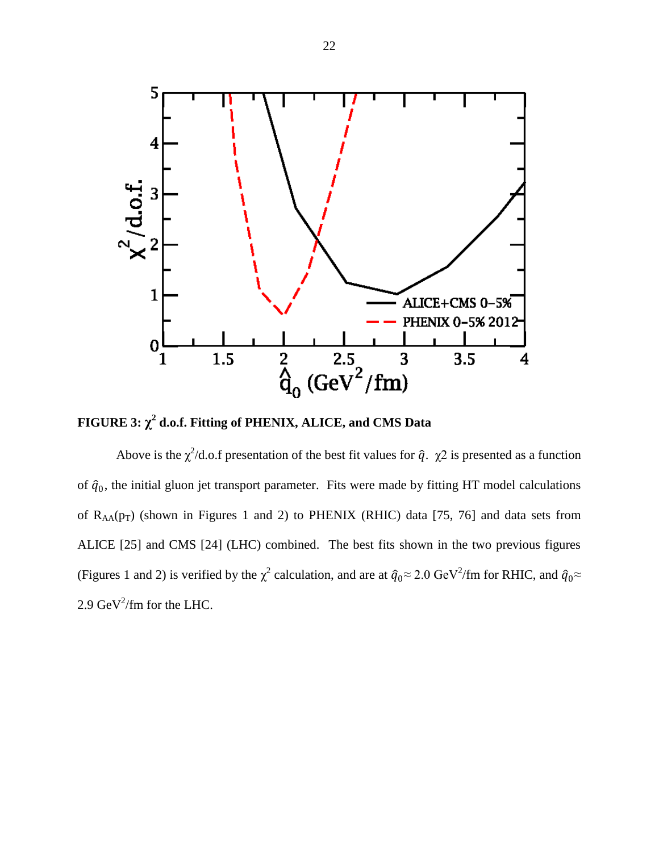

**FIGURE 3:**  $\chi^2$  d.o.f. Fitting of PHENIX, ALICE, and CMS Data

Above is the  $\chi^2$ /d.o.f presentation of the best fit values for  $\hat{q}$ .  $\chi^2$  is presented as a function of  $\hat{q}_0$ , the initial gluon jet transport parameter. Fits were made by fitting HT model calculations of  $R_{AA}(p_T)$  (shown in Figures 1 and 2) to PHENIX (RHIC) data [75, 76] and data sets from ALICE [25] and CMS [24] (LHC) combined. The best fits shown in the two previous figures (Figures 1 and 2) is verified by the  $\chi^2$  calculation, and are at  $\hat{q}_0 \approx 2.0 \text{ GeV}^2/\text{fm}$  for RHIC, and  $\hat{q}_0 \approx$ 2.9 GeV<sup>2</sup>/fm for the LHC.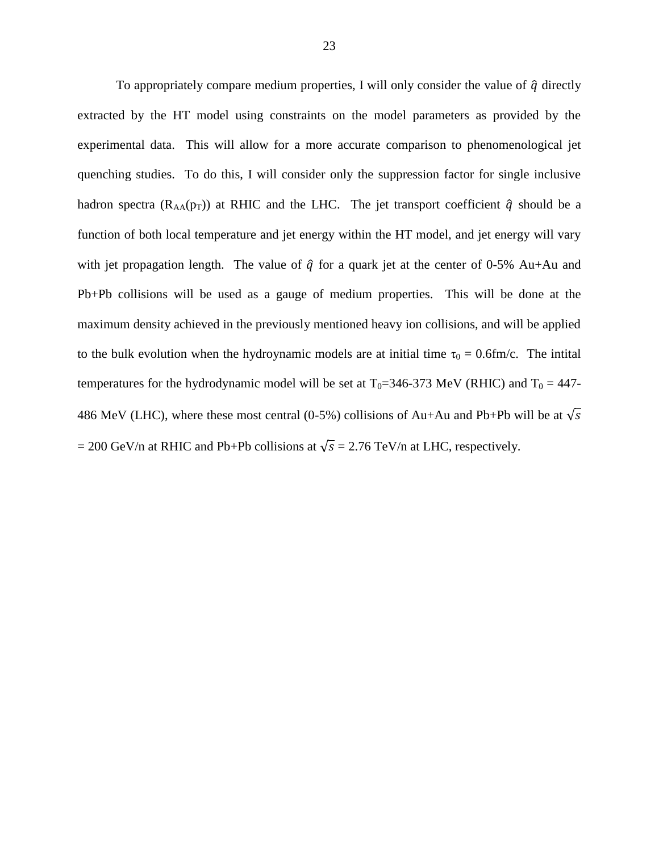To appropriately compare medium properties, I will only consider the value of  $\hat{q}$  directly extracted by the HT model using constraints on the model parameters as provided by the experimental data. This will allow for a more accurate comparison to phenomenological jet quenching studies. To do this, I will consider only the suppression factor for single inclusive hadron spectra ( $R_{AA}(p_T)$ ) at RHIC and the LHC. The jet transport coefficient  $\hat{q}$  should be a function of both local temperature and jet energy within the HT model, and jet energy will vary with jet propagation length. The value of  $\hat{q}$  for a quark jet at the center of 0-5% Au+Au and Pb+Pb collisions will be used as a gauge of medium properties. This will be done at the maximum density achieved in the previously mentioned heavy ion collisions, and will be applied to the bulk evolution when the hydroynamic models are at initial time  $\tau_0 = 0.6$ fm/c. The intital temperatures for the hydrodynamic model will be set at  $T_0=346-373$  MeV (RHIC) and  $T_0 = 447-$ 486 MeV (LHC), where these most central (0-5%) collisions of Au+Au and Pb+Pb will be at  $\sqrt{s}$  $= 200$  GeV/n at RHIC and Pb+Pb collisions at  $\sqrt{s} = 2.76$  TeV/n at LHC, respectively.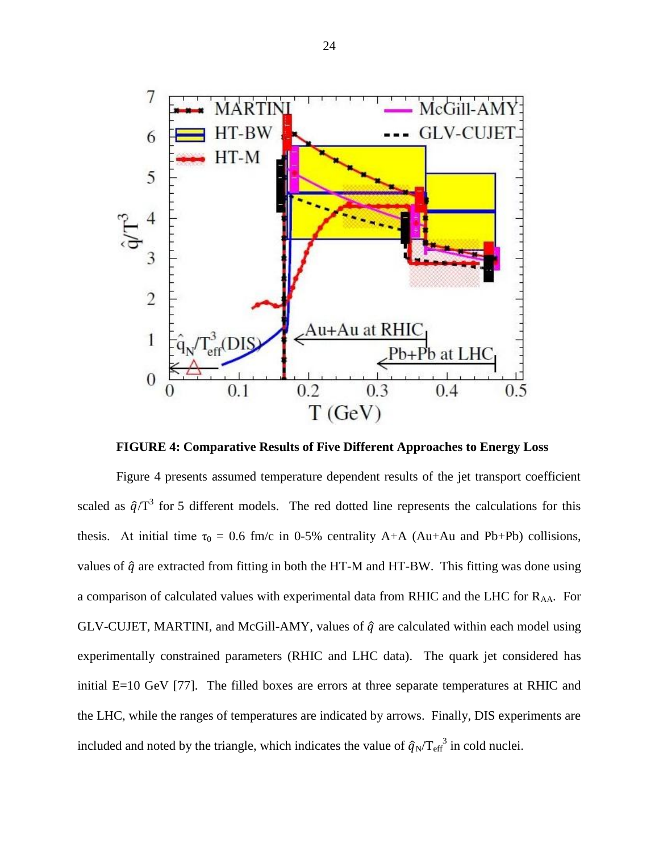

**FIGURE 4: Comparative Results of Five Different Approaches to Energy Loss**

Figure 4 presents assumed temperature dependent results of the jet transport coefficient scaled as  $\hat{q}/T^3$  for 5 different models. The red dotted line represents the calculations for this thesis. At initial time  $\tau_0 = 0.6$  fm/c in 0-5% centrality A+A (Au+Au and Pb+Pb) collisions, values of  $\hat{q}$  are extracted from fitting in both the HT-M and HT-BW. This fitting was done using a comparison of calculated values with experimental data from RHIC and the LHC for RAA. For GLV-CUJET, MARTINI, and McGill-AMY, values of  $\hat{q}$  are calculated within each model using experimentally constrained parameters (RHIC and LHC data). The quark jet considered has initial E=10 GeV [77]. The filled boxes are errors at three separate temperatures at RHIC and the LHC, while the ranges of temperatures are indicated by arrows. Finally, DIS experiments are included and noted by the triangle, which indicates the value of  $\hat{q}_N/T_{\text{eff}}^3$  in cold nuclei.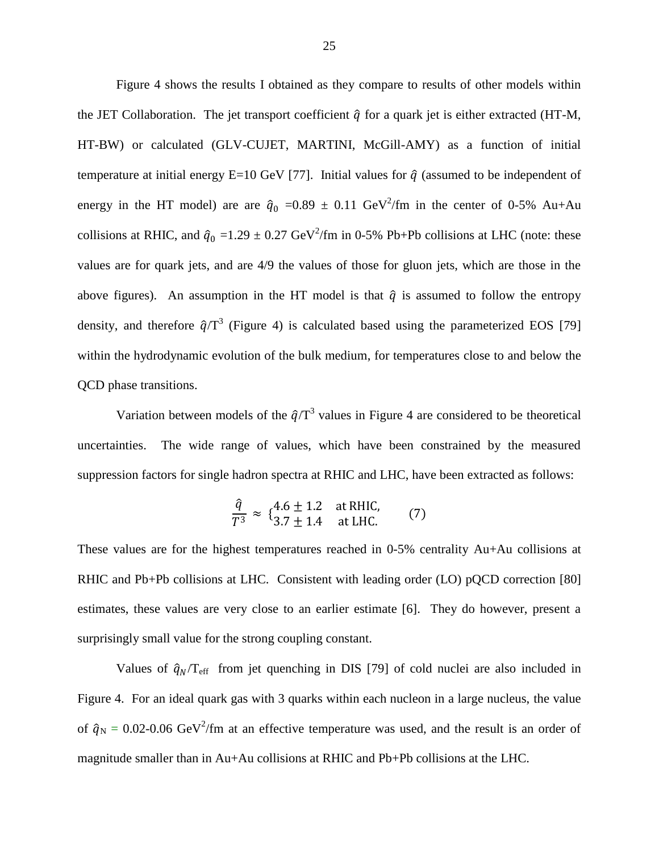Figure 4 shows the results I obtained as they compare to results of other models within the JET Collaboration. The jet transport coefficient  $\hat{q}$  for a quark jet is either extracted (HT-M, HT-BW) or calculated (GLV-CUJET, MARTINI, McGill-AMY) as a function of initial temperature at initial energy E=10 GeV [77]. Initial values for  $\hat{q}$  (assumed to be independent of energy in the HT model) are are  $\hat{q}_0$  =0.89  $\pm$  0.11 GeV<sup>2</sup>/fm in the center of 0-5% Au+Au collisions at RHIC, and  $\hat{q}_0 = 1.29 \pm 0.27 \text{ GeV}^2/\text{fm}$  in 0-5% Pb+Pb collisions at LHC (note: these values are for quark jets, and are 4/9 the values of those for gluon jets, which are those in the above figures). An assumption in the HT model is that  $\hat{q}$  is assumed to follow the entropy density, and therefore  $\hat{q}/T^3$  (Figure 4) is calculated based using the parameterized EOS [79] within the hydrodynamic evolution of the bulk medium, for temperatures close to and below the QCD phase transitions.

Variation between models of the  $\hat{q}/T^3$  values in Figure 4 are considered to be theoretical uncertainties. The wide range of values, which have been constrained by the measured suppression factors for single hadron spectra at RHIC and LHC, have been extracted as follows:

$$
\frac{\hat{q}}{T^3} \approx \{ \frac{4.6 \pm 1.2}{3.7 \pm 1.4} \text{ at RHIC,} \qquad (7)
$$

These values are for the highest temperatures reached in 0-5% centrality Au+Au collisions at RHIC and Pb+Pb collisions at LHC. Consistent with leading order (LO) pQCD correction [80] estimates, these values are very close to an earlier estimate [6]. They do however, present a surprisingly small value for the strong coupling constant.

Values of  $\hat{q}_N/T_{\text{eff}}$  from jet quenching in DIS [79] of cold nuclei are also included in Figure 4. For an ideal quark gas with 3 quarks within each nucleon in a large nucleus, the value of  $\hat{q}_N = 0.02$ -0.06 GeV<sup>2</sup>/fm at an effective temperature was used, and the result is an order of magnitude smaller than in Au+Au collisions at RHIC and Pb+Pb collisions at the LHC.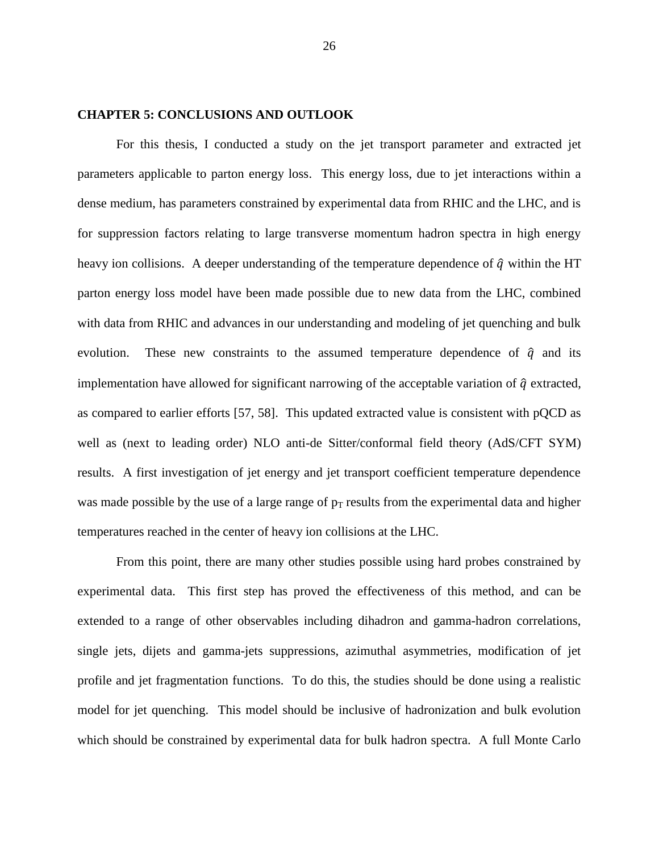#### **CHAPTER 5: CONCLUSIONS AND OUTLOOK**

For this thesis, I conducted a study on the jet transport parameter and extracted jet parameters applicable to parton energy loss. This energy loss, due to jet interactions within a dense medium, has parameters constrained by experimental data from RHIC and the LHC, and is for suppression factors relating to large transverse momentum hadron spectra in high energy heavy ion collisions. A deeper understanding of the temperature dependence of  $\hat{q}$  within the HT parton energy loss model have been made possible due to new data from the LHC, combined with data from RHIC and advances in our understanding and modeling of jet quenching and bulk evolution. These new constraints to the assumed temperature dependence of  $\hat{q}$  and its implementation have allowed for significant narrowing of the acceptable variation of  $\hat{q}$  extracted, as compared to earlier efforts [57, 58]. This updated extracted value is consistent with pQCD as well as (next to leading order) NLO anti-de Sitter/conformal field theory (AdS/CFT SYM) results. A first investigation of jet energy and jet transport coefficient temperature dependence was made possible by the use of a large range of  $p_T$  results from the experimental data and higher temperatures reached in the center of heavy ion collisions at the LHC.

From this point, there are many other studies possible using hard probes constrained by experimental data. This first step has proved the effectiveness of this method, and can be extended to a range of other observables including dihadron and gamma-hadron correlations, single jets, dijets and gamma-jets suppressions, azimuthal asymmetries, modification of jet profile and jet fragmentation functions. To do this, the studies should be done using a realistic model for jet quenching. This model should be inclusive of hadronization and bulk evolution which should be constrained by experimental data for bulk hadron spectra. A full Monte Carlo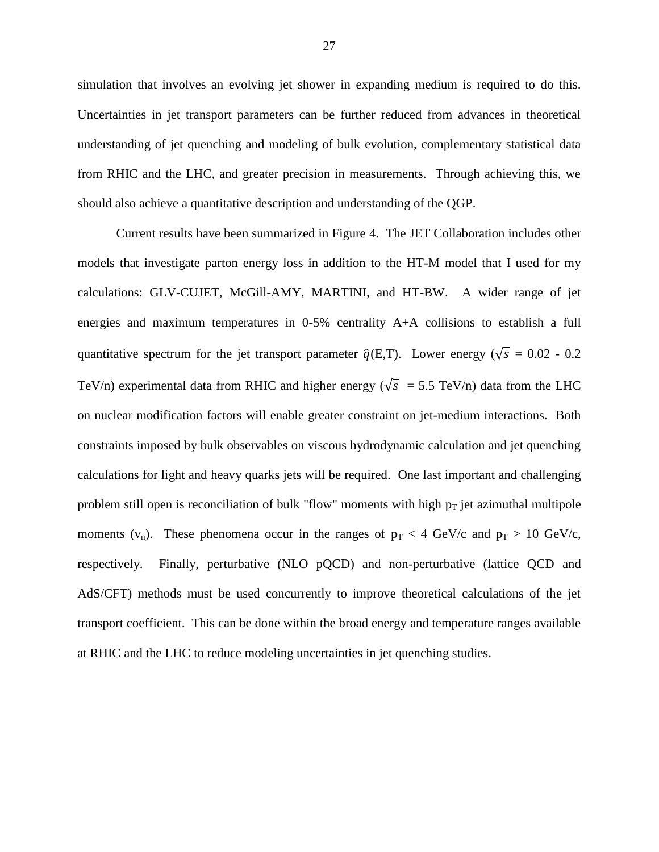simulation that involves an evolving jet shower in expanding medium is required to do this. Uncertainties in jet transport parameters can be further reduced from advances in theoretical understanding of jet quenching and modeling of bulk evolution, complementary statistical data from RHIC and the LHC, and greater precision in measurements. Through achieving this, we should also achieve a quantitative description and understanding of the QGP.

Current results have been summarized in Figure 4. The JET Collaboration includes other models that investigate parton energy loss in addition to the HT-M model that I used for my calculations: GLV-CUJET, McGill-AMY, MARTINI, and HT-BW. A wider range of jet energies and maximum temperatures in 0-5% centrality A+A collisions to establish a full quantitative spectrum for the jet transport parameter  $\hat{q}(E,T)$ . Lower energy ( $\sqrt{s} = 0.02 - 0.2$ TeV/n) experimental data from RHIC and higher energy ( $\sqrt{s}$  = 5.5 TeV/n) data from the LHC on nuclear modification factors will enable greater constraint on jet-medium interactions. Both constraints imposed by bulk observables on viscous hydrodynamic calculation and jet quenching calculations for light and heavy quarks jets will be required. One last important and challenging problem still open is reconciliation of bulk "flow" moments with high  $p_T$  jet azimuthal multipole moments ( $v_n$ ). These phenomena occur in the ranges of  $p_T < 4$  GeV/c and  $p_T > 10$  GeV/c, respectively. Finally, perturbative (NLO pQCD) and non-perturbative (lattice QCD and AdS/CFT) methods must be used concurrently to improve theoretical calculations of the jet transport coefficient. This can be done within the broad energy and temperature ranges available at RHIC and the LHC to reduce modeling uncertainties in jet quenching studies.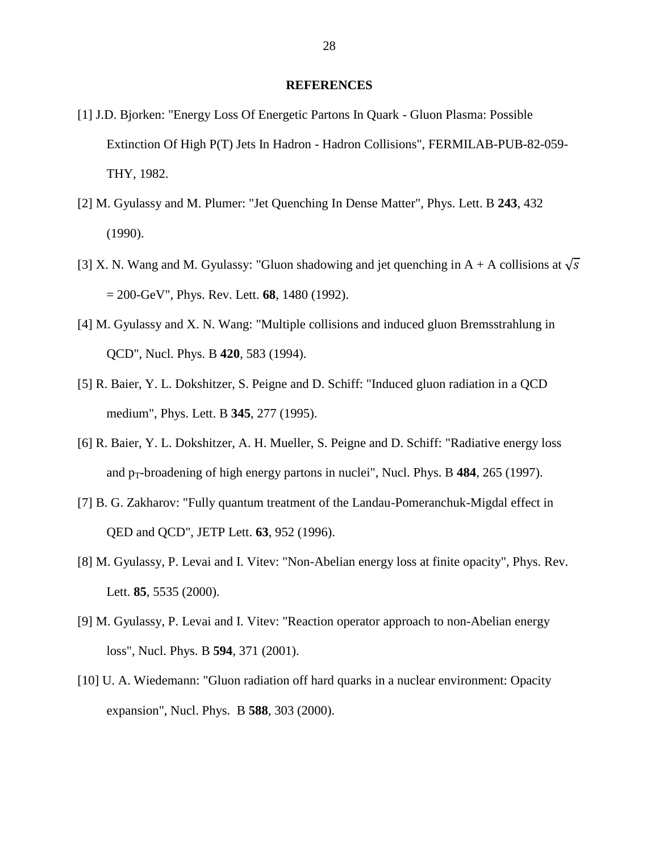#### **REFERENCES**

- [1] J.D. Bjorken: "Energy Loss Of Energetic Partons In Quark Gluon Plasma: Possible Extinction Of High P(T) Jets In Hadron - Hadron Collisions", FERMILAB-PUB-82-059- THY, 1982.
- [2] M. Gyulassy and M. Plumer: "Jet Quenching In Dense Matter", Phys. Lett. B **243**, 432 (1990).
- [3] X. N. Wang and M. Gyulassy: "Gluon shadowing and jet quenching in A + A collisions at  $\sqrt{s}$ = 200-GeV", Phys. Rev. Lett. **68**, 1480 (1992).
- [4] M. Gyulassy and X. N. Wang: "Multiple collisions and induced gluon Bremsstrahlung in QCD", Nucl. Phys. B **420**, 583 (1994).
- [5] R. Baier, Y. L. Dokshitzer, S. Peigne and D. Schiff: "Induced gluon radiation in a QCD medium", Phys. Lett. B **345**, 277 (1995).
- [6] R. Baier, Y. L. Dokshitzer, A. H. Mueller, S. Peigne and D. Schiff: "Radiative energy loss and  $p_T$ -broadening of high energy partons in nuclei", Nucl. Phys. B  $484$ ,  $265$  (1997).
- [7] B. G. Zakharov: "Fully quantum treatment of the Landau-Pomeranchuk-Migdal effect in QED and QCD", JETP Lett. **63**, 952 (1996).
- [8] M. Gyulassy, P. Levai and I. Vitev: "Non-Abelian energy loss at finite opacity", Phys. Rev. Lett. **85**, 5535 (2000).
- [9] M. Gyulassy, P. Levai and I. Vitev: "Reaction operator approach to non-Abelian energy loss", Nucl. Phys. B **594**, 371 (2001).
- [10] U. A. Wiedemann: "Gluon radiation off hard quarks in a nuclear environment: Opacity expansion", Nucl. Phys. B **588**, 303 (2000).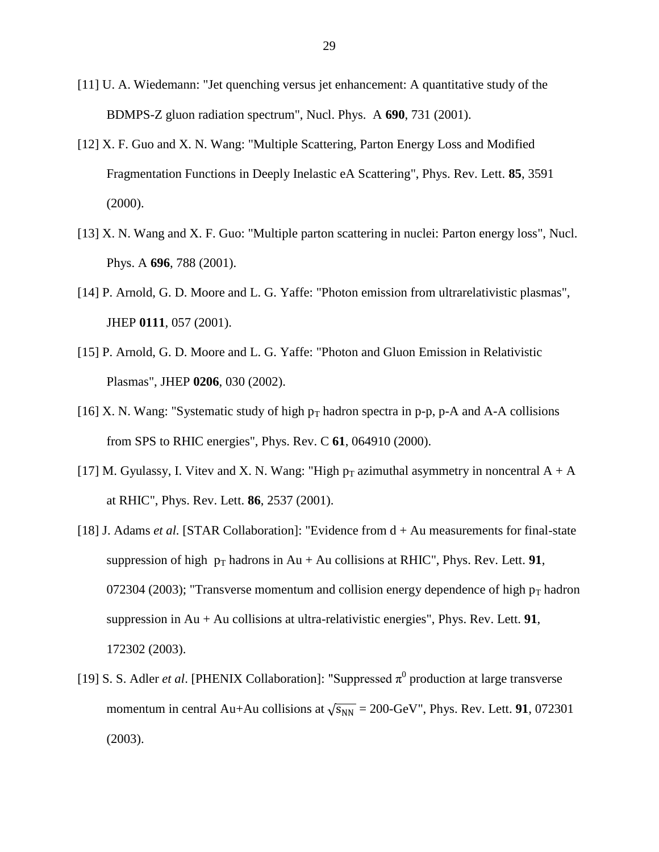- [11] U. A. Wiedemann: "Jet quenching versus jet enhancement: A quantitative study of the BDMPS-Z gluon radiation spectrum", Nucl. Phys. A **690**, 731 (2001).
- [12] X. F. Guo and X. N. Wang: "Multiple Scattering, Parton Energy Loss and Modified Fragmentation Functions in Deeply Inelastic eA Scattering", Phys. Rev. Lett. **85**, 3591 (2000).
- [13] X. N. Wang and X. F. Guo: "Multiple parton scattering in nuclei: Parton energy loss", Nucl. Phys. A **696**, 788 (2001).
- [14] P. Arnold, G. D. Moore and L. G. Yaffe: "Photon emission from ultrarelativistic plasmas", JHEP **0111**, 057 (2001).
- [15] P. Arnold, G. D. Moore and L. G. Yaffe: "Photon and Gluon Emission in Relativistic Plasmas", JHEP **0206**, 030 (2002).
- [16] X. N. Wang: "Systematic study of high  $p_T$  hadron spectra in p-p, p-A and A-A collisions from SPS to RHIC energies", Phys. Rev. C **61**, 064910 (2000).
- [17] M. Gyulassy, I. Vitev and X. N. Wang: "High  $p_T$  azimuthal asymmetry in noncentral  $A + A$ at RHIC", Phys. Rev. Lett. **86**, 2537 (2001).
- [18] J. Adams *et al.* [STAR Collaboration]: "Evidence from d + Au measurements for final-state suppression of high  $p_T$  hadrons in Au + Au collisions at RHIC", Phys. Rev. Lett. **91**, 072304 (2003); "Transverse momentum and collision energy dependence of high  $p_T$  hadron suppression in Au + Au collisions at ultra-relativistic energies", Phys. Rev. Lett. **91**, 172302 (2003).
- [19] S. S. Adler *et al.* [PHENIX Collaboration]: "Suppressed  $\pi^0$  production at large transverse momentum in central Au+Au collisions at  $\sqrt{s_{NN}} = 200$ -GeV", Phys. Rev. Lett. **91**, 072301 (2003).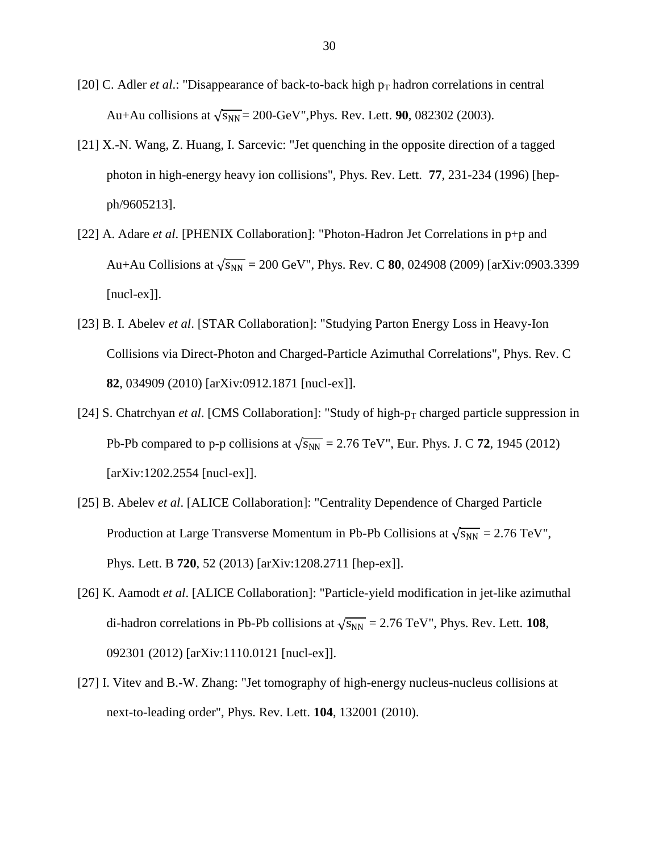- [20] C. Adler *et al.*: "Disappearance of back-to-back high  $p_T$  hadron correlations in central Au+Au collisions at  $\sqrt{s_{NN}}$  = 200-GeV", Phys. Rev. Lett. **90**, 082302 (2003).
- [21] X.-N. Wang, Z. Huang, I. Sarcevic: "Jet quenching in the opposite direction of a tagged photon in high-energy heavy ion collisions", Phys. Rev. Lett. **77**, 231-234 (1996) [hepph/9605213].
- [22] A. Adare *et al*. [PHENIX Collaboration]: "Photon-Hadron Jet Correlations in p+p and Au+Au Collisions at  $\sqrt{s_{NN}}$  = 200 GeV", Phys. Rev. C **80**, 024908 (2009) [arXiv:0903.3399 [nucl-ex]].
- [23] B. I. Abelev *et al*. [STAR Collaboration]: "Studying Parton Energy Loss in Heavy-Ion Collisions via Direct-Photon and Charged-Particle Azimuthal Correlations", Phys. Rev. C **82**, 034909 (2010) [arXiv:0912.1871 [nucl-ex]].
- [24] S. Chatrchyan *et al.* [CMS Collaboration]: "Study of high- $p_T$  charged particle suppression in Pb-Pb compared to p-p collisions at  $\sqrt{s_{NN}}$  = 2.76 TeV", Eur. Phys. J. C 72, 1945 (2012) [arXiv:1202.2554 [nucl-ex]].
- [25] B. Abelev *et al*. [ALICE Collaboration]: "Centrality Dependence of Charged Particle Production at Large Transverse Momentum in Pb-Pb Collisions at  $\sqrt{s_{NN}} = 2.76 \text{ TeV}$ ", Phys. Lett. B **720**, 52 (2013) [arXiv:1208.2711 [hep-ex]].
- [26] K. Aamodt *et al*. [ALICE Collaboration]: "Particle-yield modification in jet-like azimuthal di-hadron correlations in Pb-Pb collisions at  $\sqrt{s_{NN}} = 2.76$  TeV", Phys. Rev. Lett. **108**, 092301 (2012) [arXiv:1110.0121 [nucl-ex]].
- [27] I. Vitev and B.-W. Zhang: "Jet tomography of high-energy nucleus-nucleus collisions at next-to-leading order", Phys. Rev. Lett. **104**, 132001 (2010).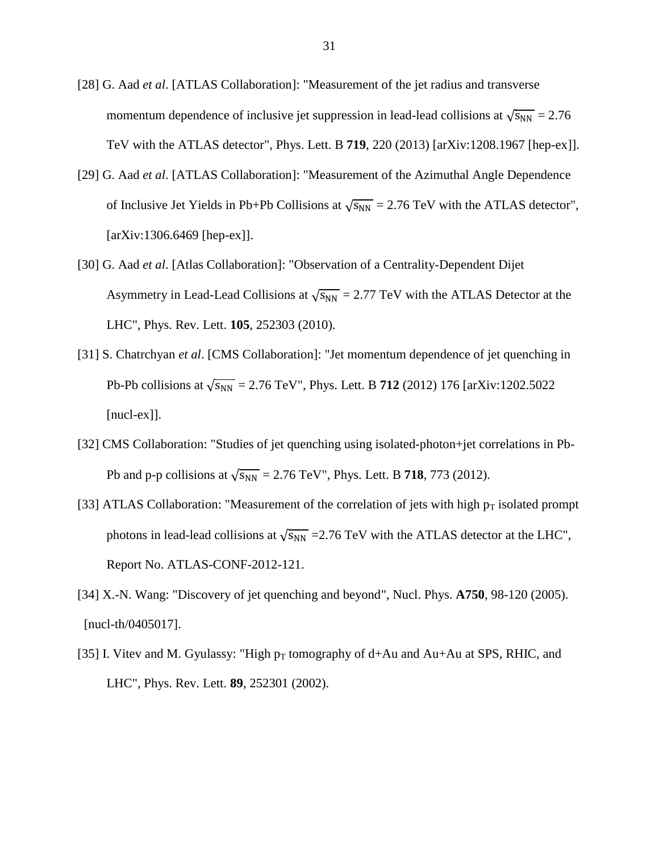- [28] G. Aad *et al*. [ATLAS Collaboration]: "Measurement of the jet radius and transverse momentum dependence of inclusive jet suppression in lead-lead collisions at  $\sqrt{s_{NN}} = 2.76$ TeV with the ATLAS detector", Phys. Lett. B **719**, 220 (2013) [arXiv:1208.1967 [hep-ex]].
- [29] G. Aad *et al*. [ATLAS Collaboration]: "Measurement of the Azimuthal Angle Dependence of Inclusive Jet Yields in Pb+Pb Collisions at  $\sqrt{s_{NN}} = 2.76$  TeV with the ATLAS detector", [arXiv:1306.6469 [hep-ex]].
- [30] G. Aad *et al*. [Atlas Collaboration]: "Observation of a Centrality-Dependent Dijet Asymmetry in Lead-Lead Collisions at  $\sqrt{s_{NN}} = 2.77$  TeV with the ATLAS Detector at the LHC", Phys. Rev. Lett. **105**, 252303 (2010).
- [31] S. Chatrchyan *et al*. [CMS Collaboration]: "Jet momentum dependence of jet quenching in Pb-Pb collisions at  $\sqrt{s_{NN}}$  = 2.76 TeV", Phys. Lett. B **712** (2012) 176 [arXiv:1202.5022 [nucl-ex]].
- [32] CMS Collaboration: "Studies of jet quenching using isolated-photon+jet correlations in Pb-Pb and p-p collisions at  $\sqrt{s_{NN}} = 2.76$  TeV", Phys. Lett. B **718**, 773 (2012).
- [33] ATLAS Collaboration: "Measurement of the correlation of jets with high  $p_T$  isolated prompt photons in lead-lead collisions at  $\sqrt{s_{NN}}$  =2.76 TeV with the ATLAS detector at the LHC", Report No. ATLAS-CONF-2012-121.
- [34] X.-N. Wang: "Discovery of jet quenching and beyond", Nucl. Phys. **A750**, 98-120 (2005). [nucl-th/0405017].
- [35] I. Vitev and M. Gyulassy: "High  $p_T$  tomography of d+Au and Au+Au at SPS, RHIC, and LHC", Phys. Rev. Lett. **89**, 252301 (2002).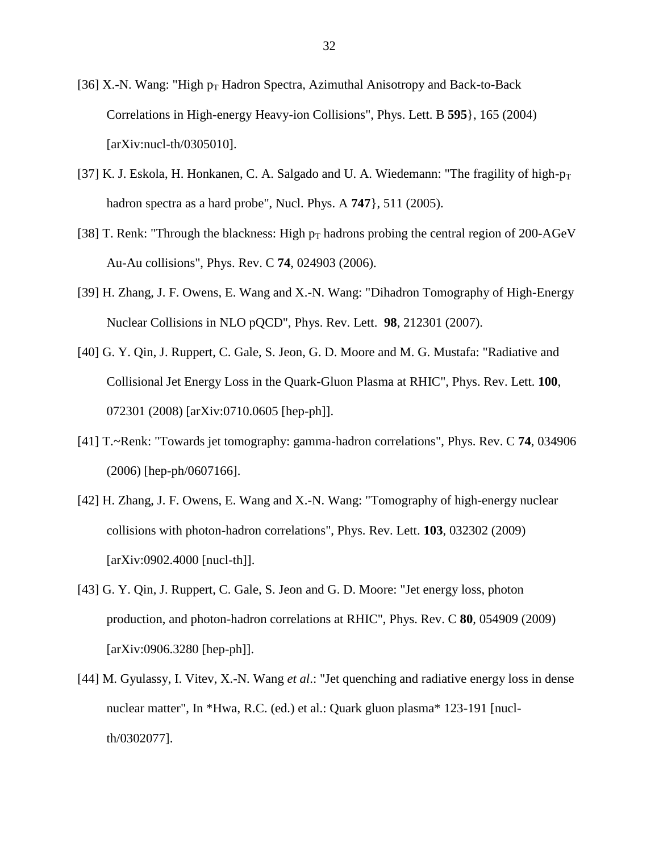- [36] X.-N. Wang: "High  $p_T$  Hadron Spectra, Azimuthal Anisotropy and Back-to-Back Correlations in High-energy Heavy-ion Collisions", Phys. Lett. B **595**}, 165 (2004) [arXiv:nucl-th/0305010].
- [37] K. J. Eskola, H. Honkanen, C. A. Salgado and U. A. Wiedemann: "The fragility of high- $p_T$ hadron spectra as a hard probe", Nucl. Phys. A **747**}, 511 (2005).
- [38] T. Renk: "Through the blackness: High  $p_T$  hadrons probing the central region of 200-AGeV Au-Au collisions", Phys. Rev. C **74**, 024903 (2006).
- [39] H. Zhang, J. F. Owens, E. Wang and X.-N. Wang: "Dihadron Tomography of High-Energy Nuclear Collisions in NLO pQCD", Phys. Rev. Lett. **98**, 212301 (2007).
- [40] G. Y. Qin, J. Ruppert, C. Gale, S. Jeon, G. D. Moore and M. G. Mustafa: "Radiative and Collisional Jet Energy Loss in the Quark-Gluon Plasma at RHIC", Phys. Rev. Lett. **100**, 072301 (2008) [arXiv:0710.0605 [hep-ph]].
- [41] T.~Renk: "Towards jet tomography: gamma-hadron correlations", Phys. Rev. C **74**, 034906 (2006) [hep-ph/0607166].
- [42] H. Zhang, J. F. Owens, E. Wang and X.-N. Wang: "Tomography of high-energy nuclear collisions with photon-hadron correlations", Phys. Rev. Lett. **103**, 032302 (2009) [arXiv:0902.4000 [nucl-th]].
- [43] G. Y. Qin, J. Ruppert, C. Gale, S. Jeon and G. D. Moore: "Jet energy loss, photon production, and photon-hadron correlations at RHIC", Phys. Rev. C **80**, 054909 (2009) [arXiv:0906.3280 [hep-ph]].
- [44] M. Gyulassy, I. Vitev, X.-N. Wang *et al*.: "Jet quenching and radiative energy loss in dense nuclear matter", In \*Hwa, R.C. (ed.) et al.: Quark gluon plasma\* 123-191 [nuclth/0302077].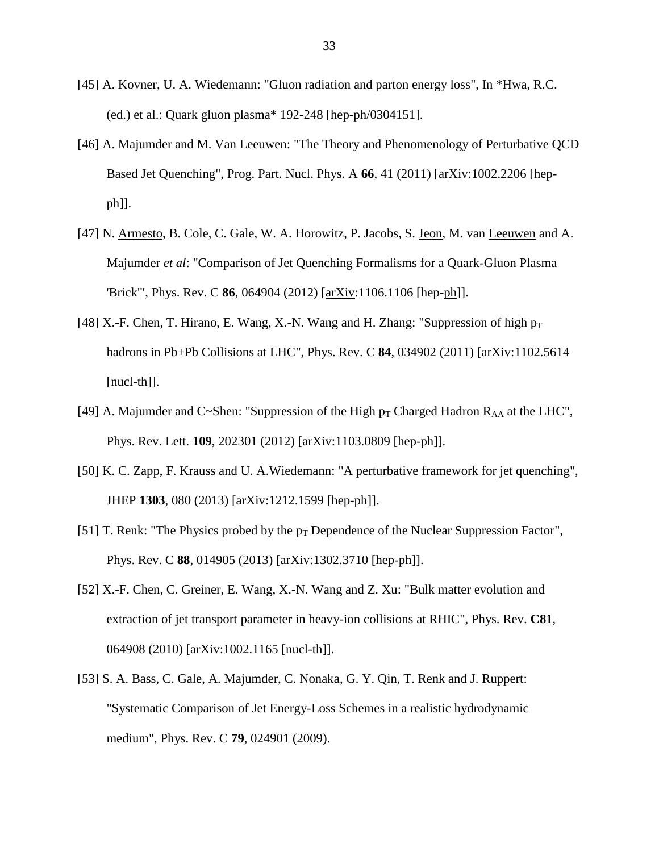- [45] A. Kovner, U. A. Wiedemann: "Gluon radiation and parton energy loss", In \*Hwa, R.C. (ed.) et al.: Quark gluon plasma\* 192-248 [hep-ph/0304151].
- [46] A. Majumder and M. Van Leeuwen: "The Theory and Phenomenology of Perturbative QCD Based Jet Quenching", Prog. Part. Nucl. Phys. A **66**, 41 (2011) [arXiv:1002.2206 [hepph]].
- [47] N. Armesto, B. Cole, C. Gale, W. A. Horowitz, P. Jacobs, S. Jeon, M. van Leeuwen and A. Majumder *et al*: "Comparison of Jet Quenching Formalisms for a Quark-Gluon Plasma 'Brick'", Phys. Rev. C **86**, 064904 (2012) [arXiv:1106.1106 [hep-ph]].
- [48] X.-F. Chen, T. Hirano, E. Wang, X.-N. Wang and H. Zhang: "Suppression of high  $p_T$ hadrons in Pb+Pb Collisions at LHC", Phys. Rev. C **84**, 034902 (2011) [arXiv:1102.5614 [nucl-th]].
- [49] A. Majumder and C~Shen: "Suppression of the High  $p_T$  Charged Hadron R<sub>AA</sub> at the LHC", Phys. Rev. Lett. **109**, 202301 (2012) [arXiv:1103.0809 [hep-ph]].
- [50] K. C. Zapp, F. Krauss and U. A.Wiedemann: "A perturbative framework for jet quenching", JHEP **1303**, 080 (2013) [arXiv:1212.1599 [hep-ph]].
- [51] T. Renk: "The Physics probed by the  $p_T$  Dependence of the Nuclear Suppression Factor", Phys. Rev. C **88**, 014905 (2013) [arXiv:1302.3710 [hep-ph]].
- [52] X.-F. Chen, C. Greiner, E. Wang, X.-N. Wang and Z. Xu: "Bulk matter evolution and extraction of jet transport parameter in heavy-ion collisions at RHIC", Phys. Rev. **C81**, 064908 (2010) [arXiv:1002.1165 [nucl-th]].
- [53] S. A. Bass, C. Gale, A. Majumder, C. Nonaka, G. Y. Qin, T. Renk and J. Ruppert: "Systematic Comparison of Jet Energy-Loss Schemes in a realistic hydrodynamic medium", Phys. Rev. C **79**, 024901 (2009).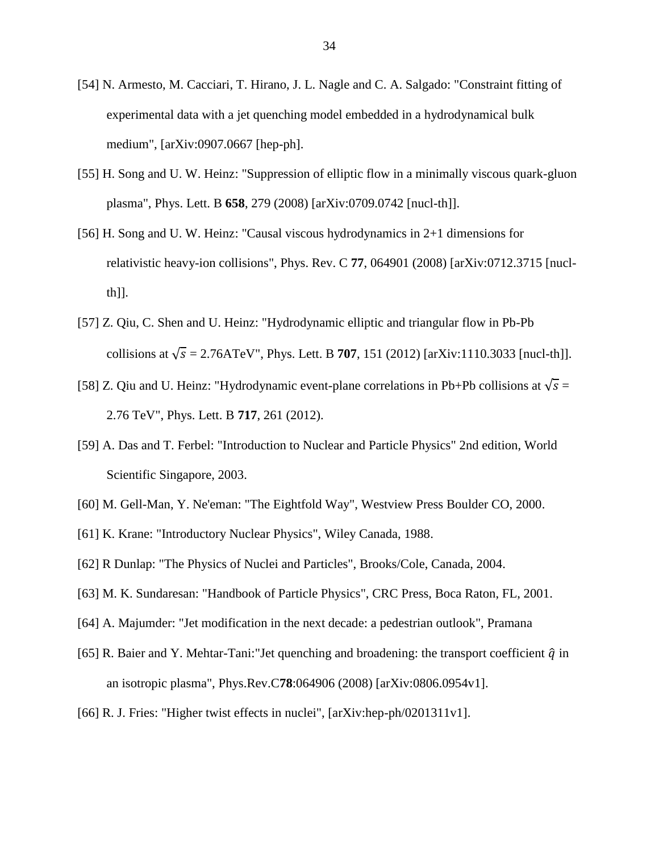- [54] N. Armesto, M. Cacciari, T. Hirano, J. L. Nagle and C. A. Salgado: "Constraint fitting of experimental data with a jet quenching model embedded in a hydrodynamical bulk medium", [arXiv:0907.0667 [hep-ph].
- [55] H. Song and U. W. Heinz: "Suppression of elliptic flow in a minimally viscous quark-gluon plasma", Phys. Lett. B **658**, 279 (2008) [arXiv:0709.0742 [nucl-th]].
- [56] H. Song and U. W. Heinz: "Causal viscous hydrodynamics in 2+1 dimensions for relativistic heavy-ion collisions", Phys. Rev. C **77**, 064901 (2008) [arXiv:0712.3715 [nuclth]].
- [57] Z. Qiu, C. Shen and U. Heinz: "Hydrodynamic elliptic and triangular flow in Pb-Pb collisions at  $\sqrt{s} = 2.76$ ATeV", Phys. Lett. B **707**, 151 (2012) [arXiv:1110.3033 [nucl-th]].
- [58] Z. Qiu and U. Heinz: "Hydrodynamic event-plane correlations in Pb+Pb collisions at  $\sqrt{s}$  = 2.76 TeV", Phys. Lett. B **717**, 261 (2012).
- [59] A. Das and T. Ferbel: "Introduction to Nuclear and Particle Physics" 2nd edition, World Scientific Singapore, 2003.
- [60] M. Gell-Man, Y. Ne'eman: "The Eightfold Way", Westview Press Boulder CO, 2000.
- [61] K. Krane: "Introductory Nuclear Physics", Wiley Canada, 1988.
- [62] R Dunlap: "The Physics of Nuclei and Particles", Brooks/Cole, Canada, 2004.
- [63] M. K. Sundaresan: "Handbook of Particle Physics", CRC Press, Boca Raton, FL, 2001.
- [64] A. Majumder: "Jet modification in the next decade: a pedestrian outlook", Pramana
- [65] R. Baier and Y. Mehtar-Tani:"Jet quenching and broadening: the transport coefficient  $\hat{q}$  in an isotropic plasma", Phys.Rev.C**78**:064906 (2008) [arXiv:0806.0954v1].
- [66] R. J. Fries: "Higher twist effects in nuclei", [arXiv:hep-ph/0201311v1].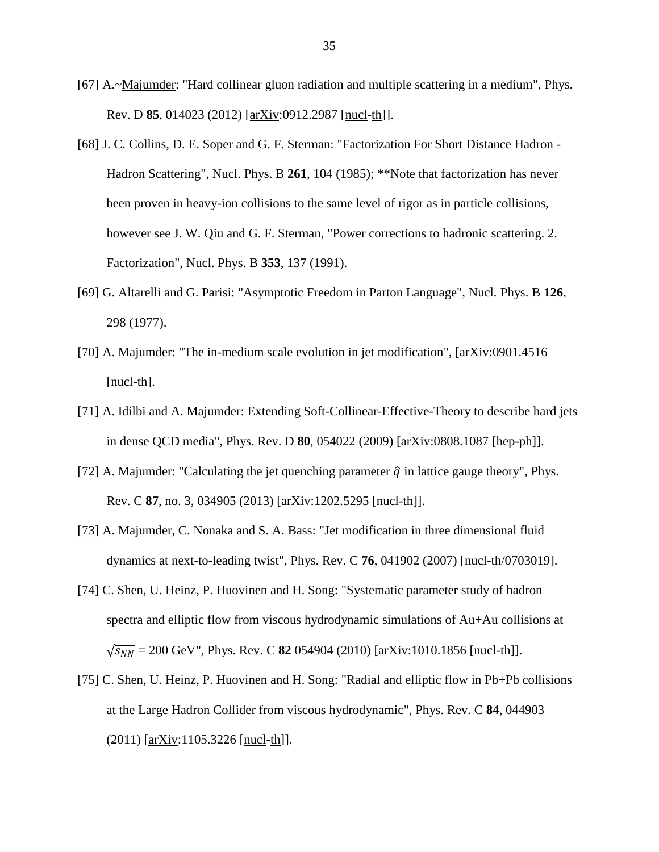- [67] A.~Majumder: "Hard collinear gluon radiation and multiple scattering in a medium", Phys. Rev. D **85**, 014023 (2012) [arXiv:0912.2987 [nucl-th]].
- [68] J. C. Collins, D. E. Soper and G. F. Sterman: "Factorization For Short Distance Hadron Hadron Scattering", Nucl. Phys. B **261**, 104 (1985); \*\*Note that factorization has never been proven in heavy-ion collisions to the same level of rigor as in particle collisions, however see J. W. Qiu and G. F. Sterman, "Power corrections to hadronic scattering. 2. Factorization", Nucl. Phys. B **353**, 137 (1991).
- [69] G. Altarelli and G. Parisi: "Asymptotic Freedom in Parton Language", Nucl. Phys. B **126**, 298 (1977).
- [70] A. Majumder: "The in-medium scale evolution in jet modification", [arXiv:0901.4516 [nucl-th].
- [71] A. Idilbi and A. Majumder: Extending Soft-Collinear-Effective-Theory to describe hard jets in dense QCD media", Phys. Rev. D **80**, 054022 (2009) [arXiv:0808.1087 [hep-ph]].
- [72] A. Majumder: "Calculating the jet quenching parameter  $\hat{q}$  in lattice gauge theory", Phys. Rev. C **87**, no. 3, 034905 (2013) [arXiv:1202.5295 [nucl-th]].
- [73] A. Majumder, C. Nonaka and S. A. Bass: "Jet modification in three dimensional fluid dynamics at next-to-leading twist", Phys. Rev. C **76**, 041902 (2007) [nucl-th/0703019].
- [74] C. Shen, U. Heinz, P. Huovinen and H. Song: "Systematic parameter study of hadron spectra and elliptic flow from viscous hydrodynamic simulations of Au+Au collisions at  $\sqrt{s_{NN}}$  = 200 GeV", Phys. Rev. C **82** 054904 (2010) [arXiv:1010.1856 [nucl-th]].
- [75] C. Shen, U. Heinz, P. Huovinen and H. Song: "Radial and elliptic flow in Pb+Pb collisions at the Large Hadron Collider from viscous hydrodynamic", Phys. Rev. C **84**, 044903  $(2011)$  [arXiv:1105.3226 [nucl-th]].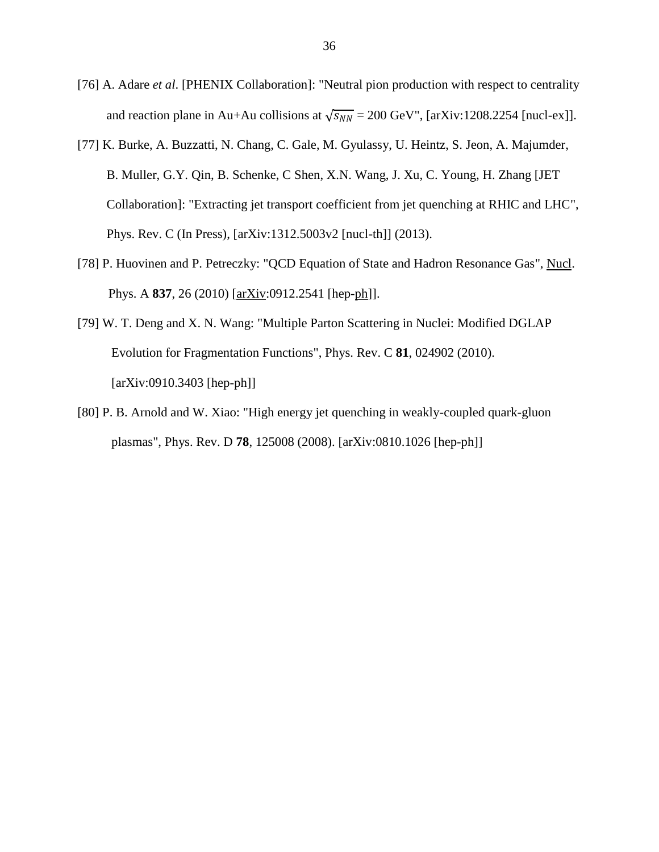- [76] A. Adare *et al*. [PHENIX Collaboration]: "Neutral pion production with respect to centrality and reaction plane in Au+Au collisions at  $\sqrt{s_{NN}}$  = 200 GeV", [arXiv:1208.2254 [nucl-ex]].
- [77] K. Burke, A. Buzzatti, N. Chang, C. Gale, M. Gyulassy, U. Heintz, S. Jeon, A. Majumder, B. Muller, G.Y. Qin, B. Schenke, C Shen, X.N. Wang, J. Xu, C. Young, H. Zhang [JET Collaboration]: "Extracting jet transport coefficient from jet quenching at RHIC and LHC", Phys. Rev. C (In Press), [arXiv:1312.5003v2 [nucl-th]] (2013).
- [78] P. Huovinen and P. Petreczky: "QCD Equation of State and Hadron Resonance Gas", Nucl. Phys. A **837**, 26 (2010) [arXiv:0912.2541 [hep-ph]].
- [79] W. T. Deng and X. N. Wang: "Multiple Parton Scattering in Nuclei: Modified DGLAP Evolution for Fragmentation Functions", Phys. Rev. C **81**, 024902 (2010). [arXiv:0910.3403 [hep-ph]]
- [80] P. B. Arnold and W. Xiao: "High energy jet quenching in weakly-coupled quark-gluon plasmas", Phys. Rev. D **78**, 125008 (2008). [arXiv:0810.1026 [hep-ph]]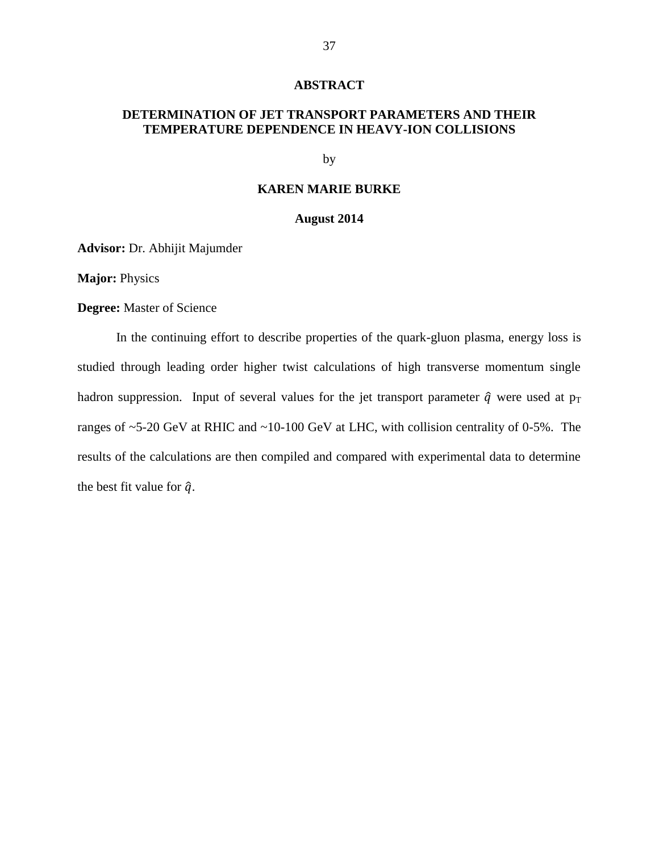#### **ABSTRACT**

## **DETERMINATION OF JET TRANSPORT PARAMETERS AND THEIR TEMPERATURE DEPENDENCE IN HEAVY-ION COLLISIONS**

by

## **KAREN MARIE BURKE**

#### **August 2014**

**Advisor:** Dr. Abhijit Majumder

**Major:** Physics

**Degree:** Master of Science

In the continuing effort to describe properties of the quark-gluon plasma, energy loss is studied through leading order higher twist calculations of high transverse momentum single hadron suppression. Input of several values for the jet transport parameter  $\hat{q}$  were used at  $p_T$ ranges of ~5-20 GeV at RHIC and ~10-100 GeV at LHC, with collision centrality of 0-5%. The results of the calculations are then compiled and compared with experimental data to determine the best fit value for  $\hat{q}$ .